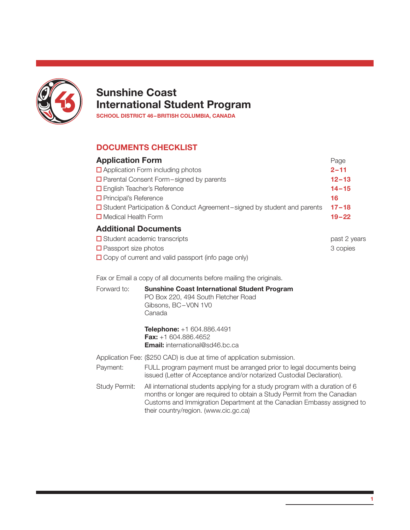

# Sunshine Coast International Student Program

SCHOOL DISTRICT 46–BRITISH COLUMBIA, CANADA

# DOCUMENTS CHECKLIST

| <b>Application Form</b>                                                   | Page      |
|---------------------------------------------------------------------------|-----------|
| $\Box$ Application Form including photos                                  | $2 - 11$  |
| $\Box$ Parental Consent Form – signed by parents                          | $12 - 13$ |
| □ English Teacher's Reference                                             | $14 - 15$ |
| $\Box$ Principal's Reference                                              | 16        |
| □ Student Participation & Conduct Agreement-signed by student and parents | $17 - 18$ |
| $\Box$ Medical Health Form                                                | $19 - 22$ |
| <b>Additional Documents</b>                                               |           |

| $\Box$ Student academic transcripts                        | past 2 years |
|------------------------------------------------------------|--------------|
| $\Box$ Passport size photos                                | 3 copies     |
| $\Box$ Copy of current and valid passport (info page only) |              |

Fax or Email a copy of all documents before mailing the originals.

| Forward to: | <b>Sunshine Coast International Student Program</b><br>PO Box 220, 494 South Fletcher Road<br>Gibsons, BC-V0N 1V0<br>Canada |
|-------------|-----------------------------------------------------------------------------------------------------------------------------|
|             |                                                                                                                             |

Telephone: +1 604.886.4491 Fax: +1 604.886.4652 Email: international@sd46.bc.ca

Application Fee: (\$250 CAD) is due at time of application submission.

- Payment: FULL program payment must be arranged prior to legal documents being issued (Letter of Acceptance and/or notarized Custodial Declaration).
- Study Permit: All international students applying for a study program with a duration of 6 months or longer are required to obtain a Study Permit from the Canadian Customs and Immigration Department at the Canadian Embassy assigned to their country/region. (www.cic.gc.ca)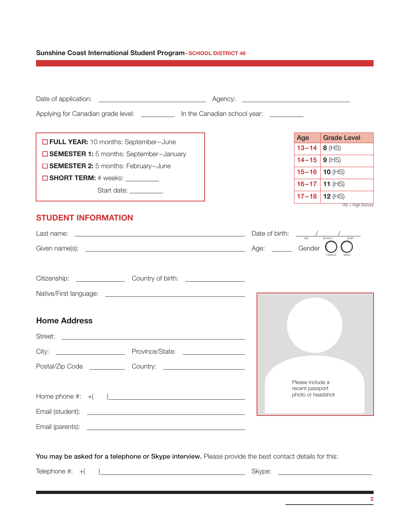# Sunshine Coast International Student Program-SCHOOL DISTRICT 46

| Applying for Canadian grade level: ____________ In the Canadian school year: __________                                                    |                                                                                                                                |
|--------------------------------------------------------------------------------------------------------------------------------------------|--------------------------------------------------------------------------------------------------------------------------------|
|                                                                                                                                            | <b>Grade Level</b><br>Age                                                                                                      |
| <b>D</b> FULL YEAR: 10 months: September-June<br><b>G SEMESTER 1:</b> 5 months: September-January                                          | $8$ (HS)<br>$13 - 14$                                                                                                          |
| <b>SEMESTER 2:</b> 5 months: February-June                                                                                                 | $9$ (HS)<br>$14 - 15$                                                                                                          |
| $\Box$ SHORT TERM: # weeks: $\_\_\_\_\_\_\_\_\_\_\_\_\_\_\_$                                                                               | $15 - 16$<br>10 $(HS)$                                                                                                         |
| Start date: __________                                                                                                                     | 11 $(HS)$<br>$16 - 17$                                                                                                         |
|                                                                                                                                            | $17 - 18$<br>12 $(HS)$<br>HS = High School                                                                                     |
| <b>STUDENT INFORMATION</b>                                                                                                                 |                                                                                                                                |
| Last name: $\frac{1}{\sqrt{1-\frac{1}{N}}}\sqrt{\frac{1}{N}}$                                                                              |                                                                                                                                |
|                                                                                                                                            |                                                                                                                                |
|                                                                                                                                            |                                                                                                                                |
|                                                                                                                                            |                                                                                                                                |
|                                                                                                                                            |                                                                                                                                |
|                                                                                                                                            |                                                                                                                                |
| <b>Home Address</b>                                                                                                                        |                                                                                                                                |
|                                                                                                                                            |                                                                                                                                |
|                                                                                                                                            |                                                                                                                                |
|                                                                                                                                            |                                                                                                                                |
|                                                                                                                                            |                                                                                                                                |
|                                                                                                                                            | Please include a<br>recent passport                                                                                            |
|                                                                                                                                            | photo or headshot                                                                                                              |
| Email (student):<br><u> 1989 - Johann Harry Harry Harry Harry Harry Harry Harry Harry Harry Harry Harry Harry Harry Harry Harry Harry</u>  |                                                                                                                                |
| Email (parents):<br><u> 1989 - Johann Harry Harry Harry Harry Harry Harry Harry Harry Harry Harry Harry Harry Harry Harry Harry Harry</u>  |                                                                                                                                |
|                                                                                                                                            |                                                                                                                                |
| You may be asked for a telephone or Skype interview. Please provide the best contact details for this:                                     |                                                                                                                                |
| Telephone #: $+($<br><u> 1989 - Johann Barn, mars and de Branch Barn, mars and de Branch Barn, mars and de Branch Barn, mars and de Br</u> | Skype:<br><u> 1989 - Johann Barn, mars ann an t-Amhain Aonaich an t-Aonaich an t-Aonaich ann an t-Aonaich ann an t-Aonaich</u> |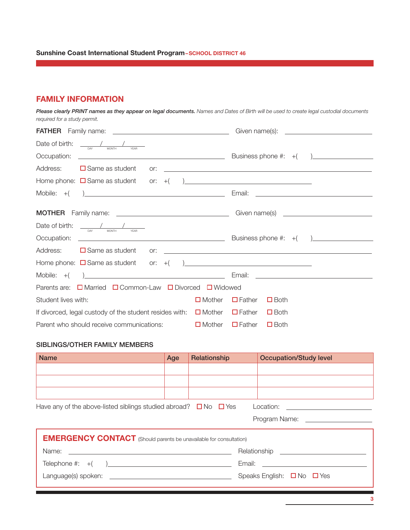# FAMILY INFORMATION

*Please clearly PRINT names as they appear on legal documents. Names and Dates of Birth will be used to create legal custodial documents required for a study permit.* 

| Date of birth:      | $\frac{1}{\sqrt{1-\frac{1}{2}}}\left( \frac{1}{\sqrt{1-\frac{1}{2}}}\right)$<br><b>MONTH</b><br><b>DAY</b><br>YFAR |     |               |               |                                                    |                                                            |
|---------------------|--------------------------------------------------------------------------------------------------------------------|-----|---------------|---------------|----------------------------------------------------|------------------------------------------------------------|
|                     |                                                                                                                    |     |               |               |                                                    |                                                            |
| Address:            | $\Box$ Same as student                                                                                             | or: |               |               |                                                    | <u> 1989 - Johann Stoff, amerikansk politiker (* 1908)</u> |
|                     |                                                                                                                    |     |               |               |                                                    |                                                            |
|                     | Mobile: $+$ $)$ $\overline{\phantom{a}}$                                                                           |     |               | Email:        | <u> 2002 - John Stein, Amerikaansk politiker (</u> |                                                            |
|                     |                                                                                                                    |     |               |               |                                                    |                                                            |
|                     |                                                                                                                    |     |               |               |                                                    |                                                            |
| Date of birth:      | $\frac{\sqrt{2.5 + 10^{-10}}}{\sqrt{2}}$ MONTH $\frac{\sqrt{2.5 + 10^{-10}}}{\sqrt{2}}$                            |     |               |               |                                                    |                                                            |
|                     |                                                                                                                    |     |               |               |                                                    |                                                            |
| Address:            | $\Box$ Same as student                                                                                             |     |               |               |                                                    |                                                            |
|                     |                                                                                                                    |     |               |               |                                                    |                                                            |
|                     | Mobile: $+($ ) $)$                                                                                                 |     |               |               |                                                    | Email: <u>__________________________________</u>           |
|                     | Parents are: □ Married □ Common-Law □ Divorced □ Widowed                                                           |     |               |               |                                                    |                                                            |
| Student lives with: |                                                                                                                    |     | $\Box$ Mother | $\Box$ Father | $\Box$ Both                                        |                                                            |
|                     | If divorced, legal custody of the student resides with: $\Box$ Mother                                              |     |               | $\Box$ Father | $\Box$ Both                                        |                                                            |
|                     | Parent who should receive communications:                                                                          |     | $\Box$ Mother | $\Box$ Father | $\Box$ Both                                        |                                                            |

### SIBLINGS/OTHER FAMILY MEMBERS

| <b>Name</b>                                                               | Age                                                                                                                                                                                                                                                                                                                      | Relationship | <b>Occupation/Study level</b>        |  |  |  |
|---------------------------------------------------------------------------|--------------------------------------------------------------------------------------------------------------------------------------------------------------------------------------------------------------------------------------------------------------------------------------------------------------------------|--------------|--------------------------------------|--|--|--|
|                                                                           |                                                                                                                                                                                                                                                                                                                          |              |                                      |  |  |  |
|                                                                           |                                                                                                                                                                                                                                                                                                                          |              |                                      |  |  |  |
|                                                                           |                                                                                                                                                                                                                                                                                                                          |              |                                      |  |  |  |
|                                                                           | Have any of the above-listed siblings studied abroad? $\square$ No $\square$ Yes<br>Location: <u>contract and contract and contract and contract and contract and contract and contract and contract and contract and contract and contract and contract and contract and contract and contract and contract and con</u> |              |                                      |  |  |  |
|                                                                           |                                                                                                                                                                                                                                                                                                                          |              |                                      |  |  |  |
| <b>EMERGENCY CONTACT</b> (Should parents be unavailable for consultation) |                                                                                                                                                                                                                                                                                                                          |              |                                      |  |  |  |
|                                                                           |                                                                                                                                                                                                                                                                                                                          |              |                                      |  |  |  |
| Telephone #: $+( )$                                                       |                                                                                                                                                                                                                                                                                                                          |              |                                      |  |  |  |
|                                                                           |                                                                                                                                                                                                                                                                                                                          |              | Speaks English: $\Box$ No $\Box$ Yes |  |  |  |
|                                                                           |                                                                                                                                                                                                                                                                                                                          |              |                                      |  |  |  |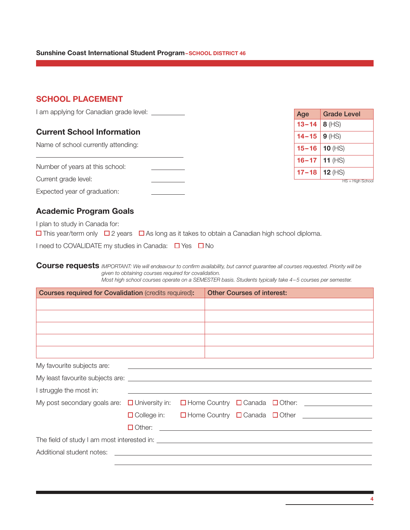#### Sunshine Coast International Student Program-SCHOOL DISTRICT 46

### SCHOOL PLACEMENT

| I am applying for Canadian grade level: |  |
|-----------------------------------------|--|
|-----------------------------------------|--|

### Current School Information

Name of school currently attending:

Current grade level:

 $\overline{a}$ 

|  |  |  | Expected year of graduation: |  |
|--|--|--|------------------------------|--|
|--|--|--|------------------------------|--|

| Age       | <b>Grade Level</b> |
|-----------|--------------------|
| $13 - 14$ | $8$ (HS)           |
| $14 - 15$ | $9$ (HS)           |
| $15 - 16$ | 10 $(HS)$          |
| $16 - 17$ | 11 $(HS)$          |
| $17 - 18$ | 12 $(HS)$          |
|           | $HS = Hiah School$ |

# Academic Program Goals

I plan to study in Canada for:

 $\Box$  This year/term only  $\Box$  2 years  $\Box$  As long as it takes to obtain a Canadian high school diploma.

I need to COVALIDATE my studies in Canada:  $\Box$  Yes  $\Box$  No

Course requests *IMPORTANT: We will endeavour to confirm availability, but cannot guarantee all courses requested. Priority will be given to obtaining courses required for covalidation. Most high school courses operate on a SEMESTER basis. Students typically take 4–5 courses per semester.* 

| <b>Courses required for Covalidation (credits required):</b> |                                                                     |  | <b>Other Courses of interest:</b> |  |                                                        |
|--------------------------------------------------------------|---------------------------------------------------------------------|--|-----------------------------------|--|--------------------------------------------------------|
|                                                              |                                                                     |  |                                   |  |                                                        |
|                                                              |                                                                     |  |                                   |  |                                                        |
|                                                              |                                                                     |  |                                   |  |                                                        |
|                                                              |                                                                     |  |                                   |  |                                                        |
|                                                              |                                                                     |  |                                   |  |                                                        |
| My favourite subjects are:                                   | <u> 1980 - Andrea Station Barbara, amerikan personal (h. 1980).</u> |  |                                   |  |                                                        |
|                                                              |                                                                     |  |                                   |  |                                                        |
| I struggle the most in:                                      |                                                                     |  |                                   |  |                                                        |
| My post secondary goals are: $\Box$ University in:           |                                                                     |  |                                   |  | $\Box$ Home Country $\Box$ Canada $\Box$ Other: $\Box$ |
|                                                              | $\Box$ College in:                                                  |  |                                   |  | $\Box$ Home Country $\Box$ Canada $\Box$ Other $\Box$  |
|                                                              |                                                                     |  |                                   |  |                                                        |
|                                                              |                                                                     |  |                                   |  |                                                        |
|                                                              |                                                                     |  |                                   |  |                                                        |
|                                                              |                                                                     |  |                                   |  |                                                        |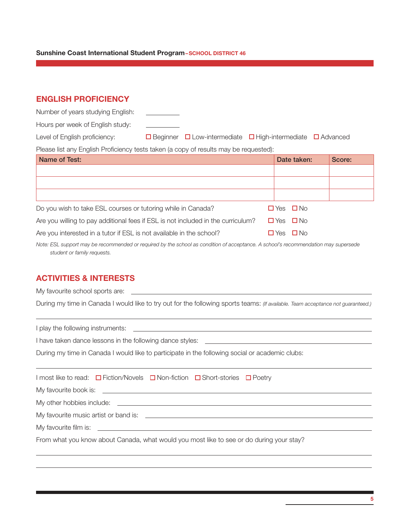#### Sunshine Coast International Student Program-SCHOOL DISTRICT 46

### ENGLISH PROFICIENCY

| Number of years studying English: |  |                                                                                  |  |
|-----------------------------------|--|----------------------------------------------------------------------------------|--|
| Hours per week of English study:  |  |                                                                                  |  |
| Level of English proficiency:     |  | $\Box$ Beginner $\Box$ Low-intermediate $\Box$ High-intermediate $\Box$ Advanced |  |
|                                   |  |                                                                                  |  |

Please list any English Proficiency tests taken (a copy of results may be requested):

| Name of Test:                                                                    |       | Date taken:          | Score: |
|----------------------------------------------------------------------------------|-------|----------------------|--------|
|                                                                                  |       |                      |        |
|                                                                                  |       |                      |        |
|                                                                                  |       |                      |        |
| Do you wish to take ESL courses or tutoring while in Canada?                     |       | $\Box$ Yes $\Box$ No |        |
| Are you willing to pay additional fees if ESL is not included in the curriculum? |       | $\Box$ Yes $\Box$ No |        |
| Are you interested in a tutor if ESL is not available in the school?             | □ Yes | $\Box$ No            |        |

*Note: ESL support may be recommended or required by the school as condition of acceptance. A school's recommendation may supersede student or family requests.*

### ACTIVITIES & INTERESTS

My favourite school sports are:

 $\overline{a}$ 

 $\overline{a}$ 

During my time in Canada I would like to try out for the following sports teams: *(If available. Team acceptance not guaranteed.)*

I play the following instruments: I have taken dance lessons in the following dance styles: During my time in Canada I would like to participate in the following social or academic clubs:  $\overline{a}$ I most like to read: □ Fiction/Novels □ Non-fiction □ Short-stories □ Poetry My favourite book is: My other hobbies include: My favourite music artist or band is: My favourite film is: \_\_

From what you know about Canada, what would you most like to see or do during your stay?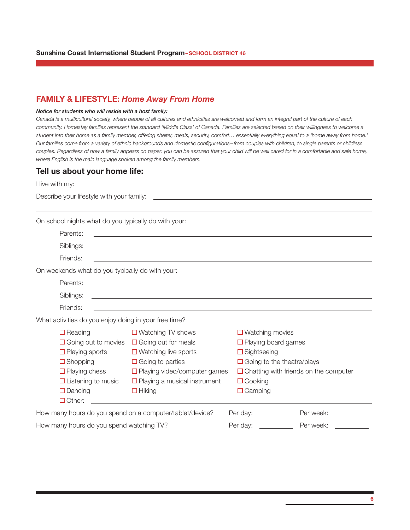### FAMILY & LIFESTYLE: *Home Away From Home*

#### *Notice for students who will reside with a host family:*

*Canada is a multicultural society, where people of all cultures and ethnicities are welcomed and form an integral part of the culture of each community. Homestay families represent the standard 'Middle Class' of Canada. Families are selected based on their willingness to welcome a student into their home as a family member, offering shelter, meals, security, comfort… essentially everything equal to a 'home away from home.' Our families come from a variety of ethnic backgrounds and domestic configurations –from couples with children, to single parents or childless*  couples. Regardless of how a family appears on paper, you can be assured that your child will be well cared for in a comfortable and safe home, *where English is the main language spoken among the family members.*

### Tell us about your home life:

| I live with my:                                                                                                                                                                                             | <u>and the control of the control of the control of the control of the control of the control of the control of</u>                                                                                                           |                                                                                                                                                                                                                                |
|-------------------------------------------------------------------------------------------------------------------------------------------------------------------------------------------------------------|-------------------------------------------------------------------------------------------------------------------------------------------------------------------------------------------------------------------------------|--------------------------------------------------------------------------------------------------------------------------------------------------------------------------------------------------------------------------------|
|                                                                                                                                                                                                             |                                                                                                                                                                                                                               | Describe your lifestyle with your family: example is a series of the state of the state of the state of the state of the state of the state of the state of the state of the state of the state of the state of the state of t |
|                                                                                                                                                                                                             |                                                                                                                                                                                                                               |                                                                                                                                                                                                                                |
| On school nights what do you typically do with your:                                                                                                                                                        |                                                                                                                                                                                                                               |                                                                                                                                                                                                                                |
| Parents:                                                                                                                                                                                                    | and the control of the control of the control of the control of the control of the control of the control of the                                                                                                              |                                                                                                                                                                                                                                |
| Siblings:                                                                                                                                                                                                   | and the control of the control of the control of the control of the control of the control of the control of the                                                                                                              |                                                                                                                                                                                                                                |
| Friends:                                                                                                                                                                                                    | the control of the control of the control of the control of the control of the control of the control of the control of the control of the control of the control of the control of the control of the control of the control |                                                                                                                                                                                                                                |
| On weekends what do you typically do with your:                                                                                                                                                             |                                                                                                                                                                                                                               |                                                                                                                                                                                                                                |
| Parents:                                                                                                                                                                                                    | <u> 1989 - Johann Stoff, deutscher Stoff, der Stoff, der Stoff, der Stoff, der Stoff, der Stoff, der Stoff, der S</u>                                                                                                         |                                                                                                                                                                                                                                |
| Siblings:                                                                                                                                                                                                   |                                                                                                                                                                                                                               |                                                                                                                                                                                                                                |
| Friends:                                                                                                                                                                                                    |                                                                                                                                                                                                                               |                                                                                                                                                                                                                                |
| What activities do you enjoy doing in your free time?                                                                                                                                                       |                                                                                                                                                                                                                               |                                                                                                                                                                                                                                |
| $\Box$ Reading<br>$\Box$ Going out to movies $\Box$ Going out for meals<br>$\Box$ Playing sports<br>$\Box$ Shopping<br>$\Box$ Playing chess<br>$\Box$ Listening to music<br>$\Box$ Dancing<br>$\Box$ Other: | $\Box$ Watching TV shows<br>$\Box$ Watching live sports<br>$\Box$ Going to parties<br>$\Box$ Playing video/computer games<br>$\Box$ Playing a musical instrument<br>$\Box$ Hiking                                             | $\Box$ Watching movies<br>$\Box$ Playing board games<br>$\Box$ Sightseeing<br>$\Box$ Going to the theatre/plays<br>$\Box$ Chatting with friends on the computer<br>$\Box$ Cooking<br>$\Box$ Camping                            |
| How many hours do you spend on a computer/tablet/device?                                                                                                                                                    |                                                                                                                                                                                                                               | Per day: $\frac{1}{2}$<br>Per week:                                                                                                                                                                                            |
| How many hours do you spend watching TV?                                                                                                                                                                    |                                                                                                                                                                                                                               | Per day:<br>Per week:                                                                                                                                                                                                          |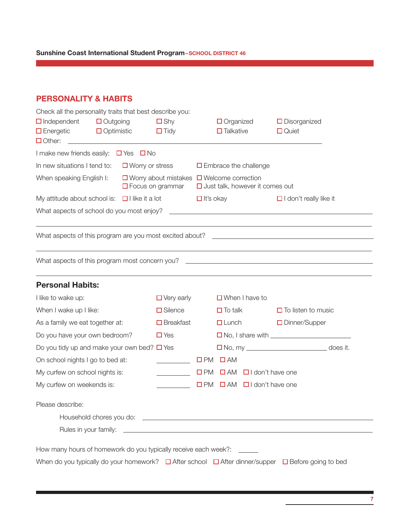Sunshine Coast International Student Program–SCHOOL DISTRICT 46

# PERSONALITY & HABITS

| Check all the personality traits that best describe you:<br>$\Box$ Independent<br>$\Box$ Energetic $\Box$ Optimistic<br>$\Box$ Other: | Outgoing                                                                                                                                                                                                                             | $\square$ Shy<br>$\Box$ Tidy | $\Box$ Organized<br>$\Box$ Talkative                                                            |                       | $\Box$ Disorganized<br>$\Box$ Quiet              |  |
|---------------------------------------------------------------------------------------------------------------------------------------|--------------------------------------------------------------------------------------------------------------------------------------------------------------------------------------------------------------------------------------|------------------------------|-------------------------------------------------------------------------------------------------|-----------------------|--------------------------------------------------|--|
| I make new friends easily: $\Box$ Yes $\Box$ No                                                                                       |                                                                                                                                                                                                                                      |                              |                                                                                                 |                       |                                                  |  |
| In new situations I tend to:                                                                                                          | $\Box$ Worry or stress                                                                                                                                                                                                               |                              | $\Box$ Embrace the challenge                                                                    |                       |                                                  |  |
| When speaking English I:                                                                                                              |                                                                                                                                                                                                                                      | $\Box$ Focus on grammar      | $\Box$ Worry about mistakes $\Box$ Welcome correction<br>$\Box$ Just talk, however it comes out |                       |                                                  |  |
| My attitude about school is: $\Box$ I like it a lot                                                                                   |                                                                                                                                                                                                                                      |                              | $\Box$ It's okay                                                                                |                       | $\Box$ I don't really like it                    |  |
| What aspects of school do you most enjoy?                                                                                             |                                                                                                                                                                                                                                      |                              | <u> 1980 - Andrea Andrew Maria (h. 1980).</u>                                                   |                       |                                                  |  |
|                                                                                                                                       |                                                                                                                                                                                                                                      |                              |                                                                                                 |                       |                                                  |  |
| What aspects of this program most concern you?                                                                                        |                                                                                                                                                                                                                                      |                              |                                                                                                 |                       |                                                  |  |
| <b>Personal Habits:</b>                                                                                                               |                                                                                                                                                                                                                                      |                              |                                                                                                 |                       |                                                  |  |
| I like to wake up:                                                                                                                    |                                                                                                                                                                                                                                      | $\Box$ Very early            |                                                                                                 | $\Box$ When I have to |                                                  |  |
| When I wake up I like:                                                                                                                |                                                                                                                                                                                                                                      | $\square$ Silence            | $\Box$ To talk                                                                                  |                       | $\Box$ To listen to music                        |  |
| As a family we eat together at:                                                                                                       |                                                                                                                                                                                                                                      | $\Box$ Breakfast             | $\Box$ Lunch                                                                                    |                       | □ Dinner/Supper                                  |  |
| Do you have your own bedroom?                                                                                                         |                                                                                                                                                                                                                                      | $\square$ Yes                |                                                                                                 |                       | □ No, I share with <u>______________________</u> |  |
| Do you tidy up and make your own bed? $\Box$ Yes                                                                                      |                                                                                                                                                                                                                                      |                              |                                                                                                 |                       | □ No, my ____________________________ does it.   |  |
| On school nights I go to bed at:                                                                                                      |                                                                                                                                                                                                                                      |                              | $\square$ AM<br>$\square$ PM                                                                    |                       |                                                  |  |
| My curfew on school nights is:                                                                                                        |                                                                                                                                                                                                                                      |                              | $\Box$ PM $\Box$ AM $\Box$ I don't have one                                                     |                       |                                                  |  |
| My curfew on weekends is:                                                                                                             |                                                                                                                                                                                                                                      |                              | □PM □AM □I don't have one                                                                       |                       |                                                  |  |
| Please describe:                                                                                                                      |                                                                                                                                                                                                                                      |                              |                                                                                                 |                       |                                                  |  |
|                                                                                                                                       | Household chores you do: <u>contract the contract of the contract of the contract of the contract of the contract of the contract of the contract of the contract of the contract of the contract of the contract of the contrac</u> |                              |                                                                                                 |                       |                                                  |  |
|                                                                                                                                       |                                                                                                                                                                                                                                      |                              |                                                                                                 |                       |                                                  |  |
| How many hours of homework do you typically receive each week?: ______                                                                |                                                                                                                                                                                                                                      |                              |                                                                                                 |                       |                                                  |  |
| When do you typically do your homework? $\Box$ After school $\Box$ After dinner/supper $\Box$ Before going to bed                     |                                                                                                                                                                                                                                      |                              |                                                                                                 |                       |                                                  |  |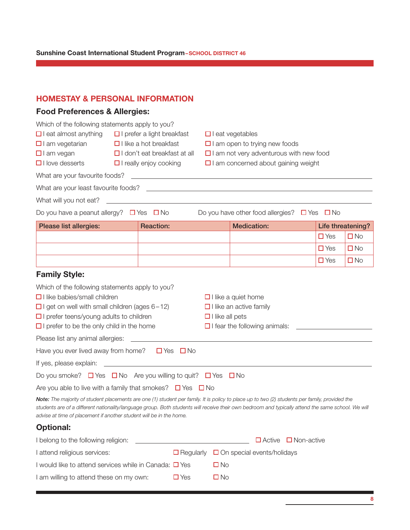# HOMESTAY & PERSONAL INFORMATION

# Food Preferences & Allergies:

| Which of the following statements apply to you?                                                                                                |                                                                       |                                                                                       |                        |                                                                                                                      |               |                   |
|------------------------------------------------------------------------------------------------------------------------------------------------|-----------------------------------------------------------------------|---------------------------------------------------------------------------------------|------------------------|----------------------------------------------------------------------------------------------------------------------|---------------|-------------------|
| $\Box$ I eat almost anything                                                                                                                   | $\Box$ I prefer a light breakfast<br>$\Box$ I eat vegetables          |                                                                                       |                        |                                                                                                                      |               |                   |
| $\Box$ I am vegetarian                                                                                                                         | $\Box$ I like a hot breakfast<br>$\Box$ I am open to trying new foods |                                                                                       |                        |                                                                                                                      |               |                   |
| $\Box$ I am vegan                                                                                                                              |                                                                       | $\Box$ I don't eat breakfast at all<br>$\Box$ I am not very adventurous with new food |                        |                                                                                                                      |               |                   |
| $\Box$ I love desserts                                                                                                                         |                                                                       | $\Box$ I really enjoy cooking                                                         |                        | $\Box$ I am concerned about gaining weight                                                                           |               |                   |
| What are your favourite foods?                                                                                                                 |                                                                       |                                                                                       |                        | <u> Alexandria de la contrada de la contrada de la contrada de la contrada de la contrada de la contrada de la c</u> |               |                   |
|                                                                                                                                                |                                                                       |                                                                                       |                        |                                                                                                                      |               |                   |
| What will you not eat?                                                                                                                         |                                                                       | <u> 1980 - Andrea Stadt, fransk politik (d. 1980)</u>                                 |                        |                                                                                                                      |               |                   |
| Do you have a peanut allergy? $\Box$ Yes $\Box$ No                                                                                             |                                                                       |                                                                                       |                        | Do you have other food allergies? $\Box$ Yes $\Box$ No                                                               |               |                   |
| <b>Please list allergies:</b>                                                                                                                  |                                                                       | <b>Reaction:</b>                                                                      |                        | <b>Medication:</b>                                                                                                   |               | Life threatening? |
|                                                                                                                                                |                                                                       |                                                                                       |                        |                                                                                                                      | $\square$ Yes | $\square$ No      |
|                                                                                                                                                |                                                                       |                                                                                       |                        |                                                                                                                      | $\square$ Yes | $\square$ No      |
|                                                                                                                                                |                                                                       |                                                                                       |                        |                                                                                                                      | $\square$ Yes | $\square$ No      |
| <b>Family Style:</b>                                                                                                                           |                                                                       |                                                                                       |                        |                                                                                                                      |               |                   |
| Which of the following statements apply to you?                                                                                                |                                                                       |                                                                                       |                        |                                                                                                                      |               |                   |
| $\Box$ I like babies/small children                                                                                                            |                                                                       |                                                                                       |                        | $\Box$ I like a quiet home                                                                                           |               |                   |
| $\Box$ I get on well with small children (ages 6-12)                                                                                           |                                                                       |                                                                                       |                        | $\Box$ I like an active family                                                                                       |               |                   |
| $\Box$ I prefer teens/young adults to children                                                                                                 |                                                                       |                                                                                       | $\Box$ I like all pets |                                                                                                                      |               |                   |
| $\Box$ I prefer to be the only child in the home                                                                                               |                                                                       |                                                                                       |                        | $\Box$ I fear the following animals:                                                                                 |               |                   |
| Please list any animal allergies:                                                                                                              |                                                                       |                                                                                       |                        |                                                                                                                      |               |                   |
| Have you ever lived away from home? $\Box$ Yes $\Box$ No                                                                                       |                                                                       |                                                                                       |                        |                                                                                                                      |               |                   |
|                                                                                                                                                |                                                                       |                                                                                       |                        |                                                                                                                      |               |                   |
| Do you smoke? $\Box$ Yes $\Box$ No Are you willing to quit? $\Box$ Yes $\Box$ No                                                               |                                                                       |                                                                                       |                        |                                                                                                                      |               |                   |
| Are you able to live with a family that smokes? $\Box$ Yes $\Box$ No                                                                           |                                                                       |                                                                                       |                        |                                                                                                                      |               |                   |
| Note: The majority of student placements are one (1) student per family. It is policy to place up to two (2) students per family, provided the |                                                                       |                                                                                       |                        |                                                                                                                      |               |                   |

*students are of a different nationality/language group. Both students will receive their own bedroom and typically attend the same school. We will advise at time of placement if another student will be in the home.* 

# Optional:

| I belong to the following religion:                         |            | $\Box$ Active $\Box$ Non-active                    |
|-------------------------------------------------------------|------------|----------------------------------------------------|
| I attend religious services:                                |            | $\Box$ Regularly $\Box$ On special events/holidays |
| I would like to attend services while in Canada: $\Box$ Yes |            | ⊟ No                                               |
| I am willing to attend these on my own:                     | $\Box$ Yes | □ No                                               |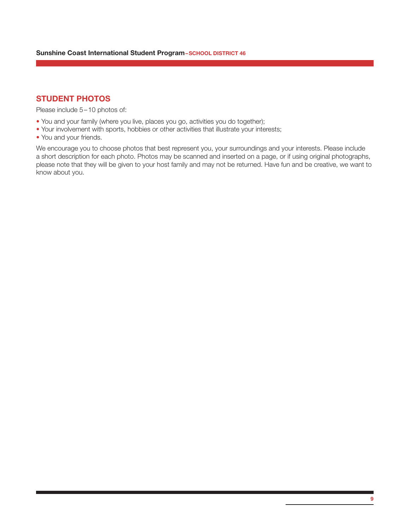# STUDENT PHOTOS

Please include 5 – 10 photos of:

- You and your family (where you live, places you go, activities you do together);
- Your involvement with sports, hobbies or other activities that illustrate your interests;
- You and your friends.

We encourage you to choose photos that best represent you, your surroundings and your interests. Please include a short description for each photo. Photos may be scanned and inserted on a page, or if using original photographs, please note that they will be given to your host family and may not be returned. Have fun and be creative, we want to know about you.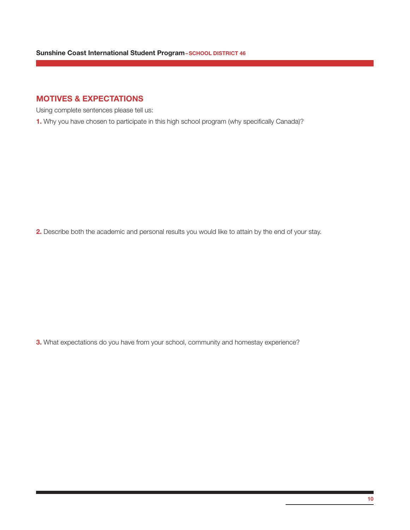# MOTIVES & EXPECTATIONS

Using complete sentences please tell us:

1. Why you have chosen to participate in this high school program (why specifically Canada)?

2. Describe both the academic and personal results you would like to attain by the end of your stay.

3. What expectations do you have from your school, community and homestay experience?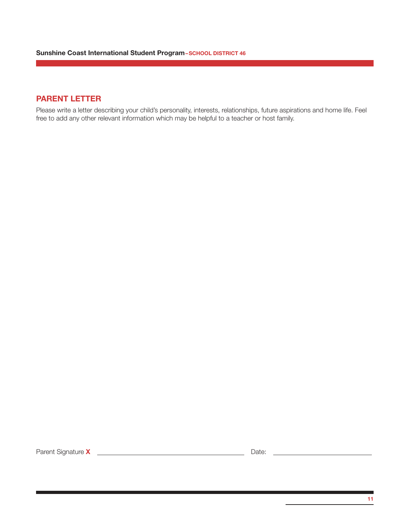# PARENT LETTER

Please write a letter describing your child's personality, interests, relationships, future aspirations and home life. Feel free to add any other relevant information which may be helpful to a teacher or host family.

Parent Signature X Date: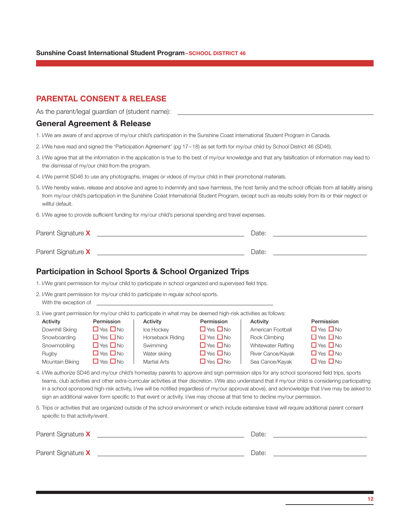#### Sunshine Coast International Student Program–SCHOOL DISTRICT 46

### PARENTAL CONSENT & RELEASE

As the parent/legal guardian of (student name):

### General Agreement & Release

- 1. I/We are aware of and approve of my/our child's participation in the Sunshine Coast International Student Program in Canada.
- 2. I/We have read and signed the 'Participation Agreement' (pg 17–18) as set forth for my/our child by School District 46 (SD46).
- 3. I/We agree that all the information in the application is true to the best of my/our knowledge and that any falsification of information may lead to the dismissal of my/our child from the program.
- 4. I/We permit SD46 to use any photographs, images or videos of my/our child in their promotional materials.
- 5. I/We hereby waive, release and absolve and agree to indemnify and save harmless, the host family and the school officials from all liability arising from my/our child's participation in the Sunshine Coast International Student Program, except such as results solely from its or their neglect or willful default.
- 6. I/We agree to provide sufficient funding for my/our child's personal spending and travel expenses.

| Parent Signature X | Date  |  |
|--------------------|-------|--|
|                    |       |  |
| Parent Signature X | Date: |  |

### Participation in School Sports & School Organized Trips

1. I/We grant permission for my/our child to participate in school organized and supervised field trips.

| 2. I/We grant permission for my/our child to participate in regular school sports. |  |  |  |
|------------------------------------------------------------------------------------|--|--|--|
| With the exception of                                                              |  |  |  |

3. I/we grant permission for my/our child to participate in what may be deemed high-risk activities as follows:

| Activity        | Permission           | Activity            | Permission           | Activity                  | Permission           |
|-----------------|----------------------|---------------------|----------------------|---------------------------|----------------------|
| Downhill Skiing | $\Box$ Yes $\Box$ No | Ice Hockey          | $\Box$ Yes $\Box$ No | American Football         | $\Box$ Yes $\Box$ No |
| Snowboarding    | $\Box$ Yes $\Box$ No | Horseback Riding    | $\Box$ Yes $\Box$ No | Rock Climbing             | $\Box$ Yes $\Box$ No |
| Snowmobiling    | $\Box$ Yes $\Box$ No | Swimming            | $\Box$ Yes $\Box$ No | <b>Whitewater Rafting</b> | $\Box$ Yes $\Box$ No |
| Rugby           | $\Box$ Yes $\Box$ No | Water skiing        | $\Box$ Yes $\Box$ No | River Canoe/Kayak         | $\Box$ Yes $\Box$ No |
| Mountain Biking | $\Box$ Yes $\Box$ No | <b>Martial Arts</b> | $\Box$ Yes $\Box$ No | Sea Canoe/Kayak           | $\Box$ Yes $\Box$ No |

- 4. I/We authorize SD46 and my/our child's homestay parents to approve and sign permission slips for any school sponsored field trips, sports teams, club activities and other extra-curricular activities at their discretion. I/We also understand that if my/our child is considering participating in a school sponsored high-risk activity, I/we will be notified (regardless of my/our approval above), and acknowledge that I/we may be asked to sign an additional waiver form specific to that event or activity. I/we may choose at that time to decline my/our permission.
- 5. Trips or activities that are organized outside of the school environment or which include extensive travel will require additional parent consent specific to that activity/event.

| Parent Signature X | Date: |
|--------------------|-------|
|                    |       |
| Parent Signature X | Date: |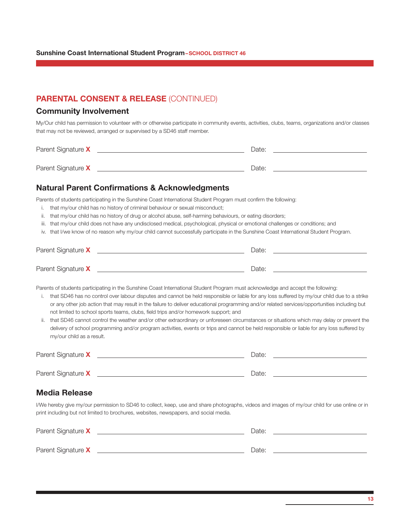# PARENTAL CONSENT & RELEASE (CONTINUED)

### Community Involvement

My/Our child has permission to volunteer with or otherwise participate in community events, activities, clubs, teams, organizations and/or classes that may not be reviewed, arranged or supervised by a SD46 staff member.

| Parent Signature X | Date: |  |
|--------------------|-------|--|
|                    |       |  |
| Parent Signature X | Date: |  |

### Natural Parent Confirmations & Acknowledgments

Parents of students participating in the Sunshine Coast International Student Program must confirm the following:

- i. that my/our child has no history of criminal behaviour or sexual misconduct;
- ii. that my/our child has no history of drug or alcohol abuse, self-harming behaviours, or eating disorders;
- iii. that my/our child does not have any undisclosed medical, psychological, physical or emotional challenges or conditions; and
- iv. that I/we know of no reason why my/our child cannot successfully participate in the Sunshine Coast International Student Program.

| Parent Signature X | Date: |  |
|--------------------|-------|--|
|                    |       |  |
| Parent Signature X | Date: |  |

Parents of students participating in the Sunshine Coast International Student Program must acknowledge and accept the following:

- i. that SD46 has no control over labour disputes and cannot be held responsible or liable for any loss suffered by my/our child due to a strike or any other job action that may result in the failure to deliver educational programming and/or related services/opportunities including but not limited to school sports teams, clubs, field trips and/or homework support; and
- ii. that SD46 cannot control the weather and/or other extraordinary or unforeseen circumstances or situations which may delay or prevent the delivery of school programming and/or program activities, events or trips and cannot be held responsible or liable for any loss suffered by my/our child as a result.

| Parent Signature X | Date: |
|--------------------|-------|
|                    |       |
| Parent Signature X | Date: |

### Media Release

I/We hereby give my/our permission to SD46 to collect, keep, use and share photographs, videos and images of my/our child for use online or in print including but not limited to brochures, websites, newspapers, and social media.

| Parent Signature X | Date: |  |
|--------------------|-------|--|
|                    |       |  |
| Parent Signature X | Date: |  |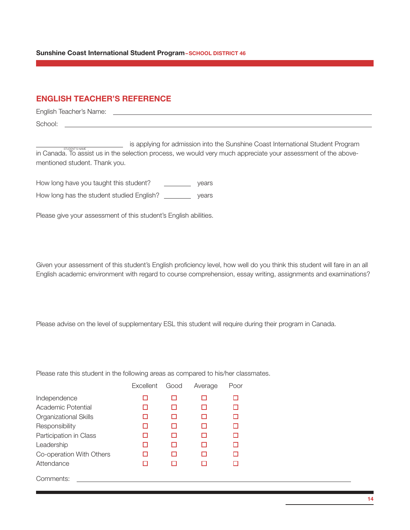#### Sunshine Coast International Student Program-SCHOOL DISTRICT 46

# ENGLISH TEACHER'S REFERENCE

English Teacher's Name:

School:

 is applying for admission into the Sunshine Coast International Student Program in Canada. To assist us in the selection process, we would very much appreciate your assessment of the abovementioned student. Thank you.

How long have you taught this student? \_\_\_\_\_\_\_\_\_\_\_\_ years How long has the student studied English? \_\_\_\_\_\_\_\_\_\_ years

Please give your assessment of this student's English abilities.

Given your assessment of this student's English proficiency level, how well do you think this student will fare in an all English academic environment with regard to course comprehension, essay writing, assignments and examinations?

Please advise on the level of supplementary ESL this student will require during their program in Canada.

Please rate this student in the following areas as compared to his/her classmates.

|                          | Excellent | Good | Average | Poor |
|--------------------------|-----------|------|---------|------|
| Independence             | П         | П    |         | H    |
| Academic Potential       |           |      |         | П    |
| Organizational Skills    |           |      |         |      |
| Responsibility           |           |      |         | I I  |
| Participation in Class   |           |      |         | п    |
| Leadership               |           |      |         |      |
| Co-operation With Others |           |      |         |      |
| Attendance               |           |      |         |      |
| Comments:                |           |      |         |      |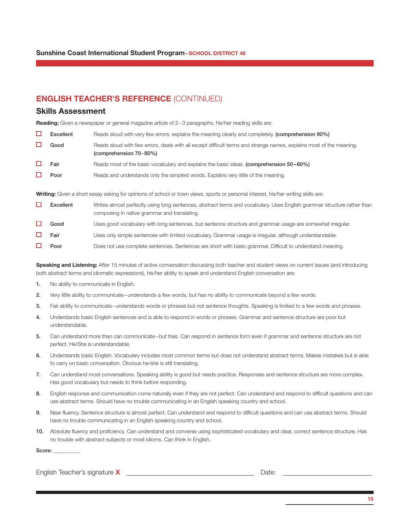# ENGLISH TEACHER'S REFERENCE (CONTINUED)

#### Skills Assessment

Reading: Given a newspaper or general magazine article of 2-3 paragraphs, his/her reading skills are:

| $\Box$ Excellent | Reads aloud with very few errors; explains the meaning clearly and completely. (comprehension 90%) |  |  |
|------------------|----------------------------------------------------------------------------------------------------|--|--|
|------------------|----------------------------------------------------------------------------------------------------|--|--|

 $\Box$ Good Reads aloud with few errors, deals with all except difficult terms and strange names, explains most of the meaning. (comprehension 70-80%)

- □ Fair Reads most of the basic vocabulary and explains the basic ideas. (comprehension 50–60%)
- **Poor** Reads and understands only the simplest words. Explains very little of the meaning. П

Writing: Given a short essay asking for opinions of school or town views, sports or personal interest, his/her writing skills are:

| Excellent   | Writes almost perfectly using long sentences, abstract terms and vocabulary. Uses English grammar structure rather than<br>composing in native grammar and translating. |
|-------------|-------------------------------------------------------------------------------------------------------------------------------------------------------------------------|
| Good        | Uses good vocabulary with long sentences, but sentence structure and grammar usage are somewhat irregular.                                                              |
| $\Box$ Fair | Uses only simple sentences with limited vocabulary. Grammar usage is irregular, although understandable.                                                                |

П Poor Does not use complete sentences. Sentences are short with basic grammar. Difficult to understand meaning.

Speaking and Listening: After 15 minutes of active conversation discussing both teacher and student views on current issues (and introducing both abstract terms and idiomatic expressions), his/her ability to speak and understand English conversation are:

- 1. No ability to communicate in English.
- 2. Very little ability to communicate–understands a few words, but has no ability to communicate beyond a few words.
- 3. Fair ability to communicate–understands words or phrases but not sentence thoughts. Speaking is limited to a few words and phrases.
- 4. Understands basic English sentences and is able to respond in words or phrases. Grammar and sentence structure are poor but understandable.
- 5. Can understand more than can communicate–but tries. Can respond in sentence form even if grammar and sentence structure are not perfect. He/She is understandable.
- 6. Understands basic English. Vocabulary includes most common terms but does not understand abstract terms. Makes mistakes but is able to carry on basic conversation. Obvious he/she is still translating.
- 7. Can understand most conversations. Speaking ability is good but needs practice. Responses and sentence structure are more complex. Has good vocabulary but needs to think before responding.
- 8. English response and communication come naturally even if they are not perfect. Can understand and respond to difficult questions and can use abstract terms. Should have no trouble communicating in an English speaking country and school.
- 9. Near fluency. Sentence structure is almost perfect. Can understand and respond to difficult questions and can use abstract terms. Should have no trouble communicating in an English speaking country and school.
- 10. Absolute fluency and proficiency. Can understand and converse using sophisticated vocabulary and clear, correct sentence structure. Has no trouble with abstract subjects or most idioms. Can think in English.

Score:

English Teacher's signature **X** Date: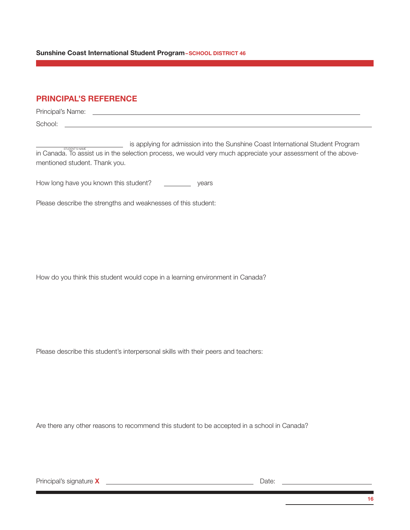Sunshine Coast International Student Program–SCHOOL DISTRICT 46

# PRINCIPAL'S REFERENCE

| Principal's Name: |  |  |
|-------------------|--|--|
| School:           |  |  |

is applying for admission into the Sunshine Coast International Student Program in Canada. To assist us in the selection process, we would very much appreciate your assessment of the abovementioned student. Thank you.

How long have you known this student? \_\_\_\_\_\_\_\_\_\_\_ years

Please describe the strengths and weaknesses of this student:

How do you think this student would cope in a learning environment in Canada?

Please describe this student's interpersonal skills with their peers and teachers:

Are there any other reasons to recommend this student to be accepted in a school in Canada?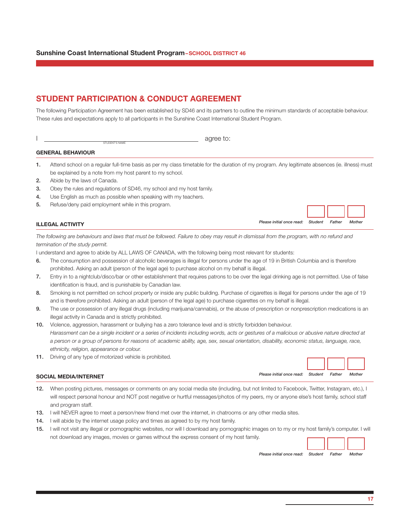# STUDENT PARTICIPATION & CONDUCT AGREEMENT

The following Participation Agreement has been established by SD46 and its partners to outline the minimum standards of acceptable behaviour. These rules and expectations apply to all participants in the Sunshine Coast International Student Program.

|                           | $    -$ |
|---------------------------|---------|
| "S NAME<br>STIID<br>1⊢N L |         |

#### GENERAL BEHAVIOUR

- 1. Attend school on a regular full-time basis as per my class timetable for the duration of my program. Any legitimate absences (ie. illness) must be explained by a note from my host parent to my school.
- 2. Abide by the laws of Canada.
- 3. Obey the rules and regulations of SD46, my school and my host family.
- 4. Use English as much as possible when speaking with my teachers.
- 5. Refuse/deny paid employment while in this program.

### *Please initial once read: Student Father Mother* ILLEGAL ACTIVITY

*The following are behaviours and laws that must be followed. Failure to obey may result in dismissal from the program, with no refund and termination of the study permit.*

I understand and agree to abide by ALL LAWS OF CANADA, with the following being most relevant for students:

- 6. The consumption and possession of alcoholic beverages is illegal for persons under the age of 19 in British Columbia and is therefore prohibited. Asking an adult (person of the legal age) to purchase alcohol on my behalf is illegal.
- 7. Entry in to a nightclub/disco/bar or other establishment that requires patrons to be over the legal drinking age is not permitted. Use of false identification is fraud, and is punishable by Canadian law.
- 8. Smoking is not permitted on school property or inside any public building. Purchase of cigarettes is illegal for persons under the age of 19 and is therefore prohibited. Asking an adult (person of the legal age) to purchase cigarettes on my behalf is illegal.
- 9. The use or possession of any illegal drugs (including marijuana/cannabis), or the abuse of prescription or nonprescription medications is an illegal activity in Canada and is strictly prohibited.
- 10. Violence, aggression, harassment or bullying has a zero tolerance level and is strictly forbidden behaviour. *Harassment can be a single incident or a series of incidents including words, acts or gestures of a malicious or abusive nature directed at a person or a group of persons for reasons of: academic ability, age, sex, sexual orientation, disability, economic status, language, race, ethnicity, religion, appearance or colour.*
- 11. Driving of any type of motorized vehicle is prohibited.

### *Please initial once read: Student Father Mother* SOCIAL MEDIA/INTERNET

- 12. When posting pictures, messages or comments on any social media site (including, but not limited to Facebook, Twitter, Instagram, etc.), I will respect personal honour and NOT post negative or hurtful messages/photos of my peers, my or anyone else's host family, school staff and program staff.
- 13. I will NEVER agree to meet a person/new friend met over the internet, in chatrooms or any other media sites.
- 14. I will abide by the internet usage policy and times as agreed to by my host family.
- 15. I will not visit any illegal or pornographic websites, nor will I download any pornographic images on to my or my host family's computer. I will not download any images, movies or games without the express consent of my host family.



*Please initial once read: Student Father Mother*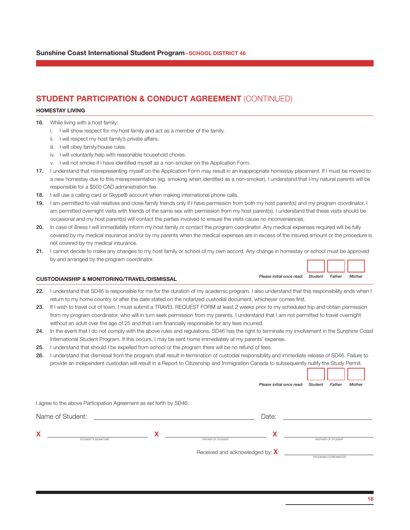# STUDENT PARTICIPATION & CONDUCT AGREEMENT (CONTINUED)

#### HOMESTAY LIVING

- 16. While living with a host family:
	- i. I will show respect for my host family and act as a member of the family.
	- ii. I will respect my host family's private affairs.
	- iii. I will obey family/house rules.
	- iv. I will voluntarily help with reasonable household chores.
	- v. I will not smoke if I have identified myself as a non-smoker on the Application Form.
- 17. I understand that misrepresenting myself on the Application Form may result in an inappropriate homestay placement. If I must be moved to a new homestay due to this misrepresentation (eg. smoking when identified as a non-smoker), I understand that I/my natural parents will be responsible for a \$500 CAD administration fee.
- 18. I will use a calling card or Skype® account when making international phone calls.
- 19. I am permitted to visit relatives and close family friends only if I have permission from both my host parent(s) and my program coordinator. I am permitted overnight visits with friends of the same sex with permission from my host parent(s). I understand that these visits should be occasional and my host parent(s) will contact the parties involved to ensure the visits cause no inconveniences.
- 20. In case of illness I will immediately inform my host family or contact the program coordinator. Any medical expenses required will be fully covered by my medical insurance and/or by my parents when the medical expenses are in excess of the insured amount or the procedure is not covered by my medical insurance.
- 21. I cannot decide to make any changes to my host family or school of my own accord. Any change in homestay or school must be approved by and arranged by the program coordinator.

### *Please initial once read: Student Father Mother* CUSTODIANSHIP & MONITORING/TRAVEL/DISMISSAL

| 22. I understand that SD46 is responsible for me for the duration of my academic program. I also understand that this responsibility ends when I |
|--------------------------------------------------------------------------------------------------------------------------------------------------|
| return to my home country or after the date stated on the notarized custodial document, whichever comes first.                                   |

- 23. If I wish to travel out of town, I must submit a TRAVEL REQUEST FORM at least 2 weeks prior to my scheduled trip and obtain permission from my program coordinator, who will in turn seek permission from my parents. I understand that I am not permitted to travel overnight without an adult over the age of 25 and that I am financially responsible for any fees incurred.
- 24. In the event that I do not comply with the above rules and regulations, SD46 has the right to terminate my involvement in the Sunshine Coast International Student Program. If this occurs, I may be sent home immediately at my parents' expense.
- 25. I understand that should I be expelled from school or the program there will be no refund of fees.
- 26. I understand that dismissal from the program shall result in termination of custodial responsibility and immediate release of SD46. Failure to provide an independent custodian will result in a Report to Citizenship and Immigration Canada to subsequently nullify the Study Permit.

|                          |                                                                    | Please initial once read:       | Student<br>Father<br>Mother |
|--------------------------|--------------------------------------------------------------------|---------------------------------|-----------------------------|
|                          | I agree to the above Participation Agreement as set forth by SD46: |                                 |                             |
| Name of Student:         | <u> 1989 - Johann Stein, mars an deutscher Stein († 1989)</u>      | Date:                           |                             |
| Χ<br>STUDENT'S SIGNATURE |                                                                    | Х<br>FATHER OF STUDENT          | MOTHER OF STUDENT           |
|                          |                                                                    | Received and acknowledged by: X | PROGRAM COORDINATOR         |

<u>rans de la p</u>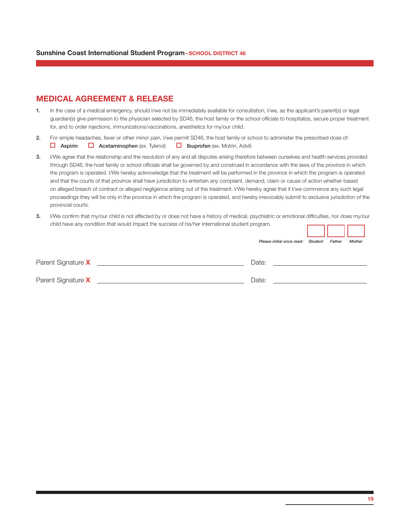### MEDICAL AGREEMENT & RELEASE

- 1. In the case of a medical emergency, should I/we not be immediately available for consultation, I/we, as the applicant's parent(s) or legal guardian(s) give permission to the physician selected by SD46, the host family or the school officials to hospitalize, secure proper treatment for, and to order injections, immunizations/vaccinations, anesthetics for my/our child.
- 2. For simple headaches, fever or other minor pain, I/we permit SD46, the host family or school to administer the prescribed dose of: **Aspirin Q** Acetaminophen (ex. Tylenol) **Q** Ibuprofen (ex. Motrin, Advil)
- 3. I/We agree that the relationship and the resolution of any and all disputes arising therefore between ourselves and health services provided through SD46, the host family or school officials shall be governed by and construed in accordance with the laws of the province in which the program is operated. I/We hereby acknowledge that the treatment will be performed in the province in which the program is operated and that the courts of that province shall have jurisdiction to entertain any complaint, demand, claim or cause of action whether based on alleged breach of contract or alleged negligence arising out of the treatment. I/We hereby agree that if I/we commence any such legal proceedings they will be only in the province in which the program is operated, and hereby irrevocably submit to exclusive jurisdiction of the provincial courts.
- 3. I/We confirm that my/our child is not affected by or does not have a history of medical, psychiatric or emotional difficulties, nor does my/our child have any condition that would impact the success of his/her international student program.

|                    | Please initial once read: Student | Father | Mother |
|--------------------|-----------------------------------|--------|--------|
| Parent Signature X | Date:                             |        |        |
| Parent Signature X | Date:                             |        |        |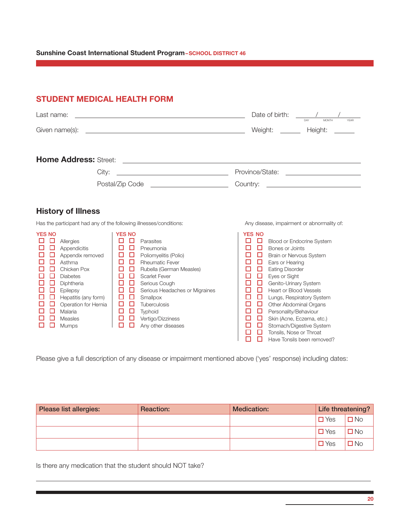#### Sunshine Coast International Student Program-SCHOOL DISTRICT 46

STUDENT MEDICAL HEALTH FORM

# $\textsf{Last name:}\quad \begin{array}{cc} \textsf{Last name:} & \begin{array}{cc} \textsf{Last name:} & \textsf{Last name:} \end{array} \end{array}$ Given name(s): Weight: Height: Home Address: Street: City: Province/State: Postal/Zip Code Country: History of Illness Has the participant had any of the following illnesses/conditions: Any disease, impairment or abnormality of: YES NO YES NO YES NO Allergies Parasites Blood or Endocrine System Appendicitis Pneumonia Bones or Joints Appendix removed Poliomyelitis (Polio) Brain or Nervous System  $\begin{array}{c|c|c|c|c|c} \hline \quad \Box & \Box & \text{Asthma} \\ \hline \quad \Box & \Box & \text{Rheumatic Fever} \\ \hline \quad \Box & \Box & \text{Rubella (German Measures)} \\ \hline \end{array} \hspace{2cm} \begin{array}{c|c|c|c} \hline \quad \Box & \Box & \text{Ears or Hearing} \\ \hline \quad \Box & \Box & \text{Eating Disorder} \\ \hline \end{array}$ Chicken Pox Rubella (German Measles) Eating Disorder Diabetes Scarlet Fever Eyes or Sight Diphtheria Serious Cough Genito-Urinary System Epilepsy Serious Headaches or Migraines Heart or Blood Vessels  $\Box$   $\Box$  Lungs, Respiratory System<br>  $\Box$   $\Box$  Other Abdominal Organs O Operation for Hernia O O Tuberculosis<br>
O O Malaria C O Typhoid C O Tuberculosis Malaria Typhoid Personality/Behaviour  $\begin{array}{c|c|c|c|c|c} \hline \Box & \Box & \text{Measles} & \Box & \Box & \Box & \text{Vert.} \\ \hline \Box & \Box & \text{Measles} & \Box & \Box & \text{angle.} \\ \hline \Box & \Box & \text{Measles} & \Box & \Box & \text{Re.} \\ \hline \end{array}$ **O O** Any other diseases Stomach/Digestive System<br> **O O** Tonsils, Nose or Throat  $\Box$   $\Box$  Tonsils, Nose or Throat<br> $\Box$   $\Box$  Have Tonsils been remo Have Tonsils been removed?

Please give a full description of any disease or impairment mentioned above ('yes' response) including dates:

| Please list allergies: | <b>Reaction:</b> | <b>Medication:</b> |               | Life threatening? |
|------------------------|------------------|--------------------|---------------|-------------------|
|                        |                  |                    | $\square$ Yes | N <sub>o</sub>    |
|                        |                  |                    | $\Box$ Yes    | <b>No</b>         |
|                        |                  |                    | $\Box$ Yes    | No                |

Is there any medication that the student should NOT take?

 $\overline{a}$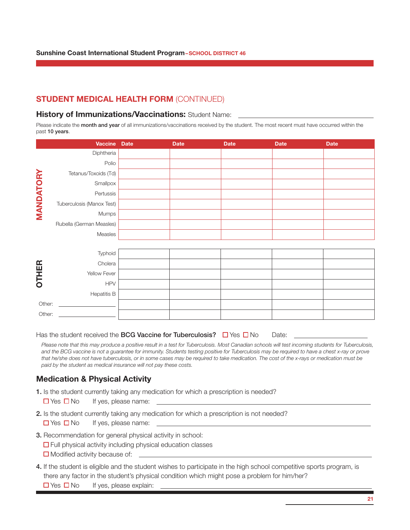# STUDENT MEDICAL HEALTH FORM (CONTINUED)

### **History of Immunizations/Vaccinations: Student Name:**

Please indicate the month and year of all immunizations/vaccinations received by the student. The most recent must have occurred within the past 10 years.

|              | Vaccine Date                                   | <b>Date</b> | <b>Date</b> | <b>Date</b> | <b>Date</b> |
|--------------|------------------------------------------------|-------------|-------------|-------------|-------------|
|              | Diphtheria                                     |             |             |             |             |
|              | Polio                                          |             |             |             |             |
|              | Tetanus/Toxoids (Td)                           |             |             |             |             |
|              | Smallpox                                       |             |             |             |             |
| MANDATORY    | Pertussis                                      |             |             |             |             |
|              | Tuberculosis (Manox Test)                      |             |             |             |             |
|              | Mumps                                          |             |             |             |             |
|              | Rubella (German Measles)                       |             |             |             |             |
|              | Measles                                        |             |             |             |             |
|              |                                                |             |             |             |             |
|              | Typhoid                                        |             |             |             |             |
|              | Cholera                                        |             |             |             |             |
| <b>OTHER</b> | Yellow Fever                                   |             |             |             |             |
|              | <b>HPV</b>                                     |             |             |             |             |
|              | <b>Hepatitis B</b>                             |             |             |             |             |
| Other:       | <u> The Communication of the Communication</u> |             |             |             |             |
| Other:       |                                                |             |             |             |             |

Has the student received the **BCG Vaccine for Tuberculosis?**  $\Box$  Yes  $\Box$  No Date:

*Please note that this may produce a positive result in a test for Tuberculosis. Most Canadian schools will test incoming students for Tuberculosis, and the BCG vaccine is not a guarantee for immunity. Students testing positive for Tuberculosis may be required to have a chest x-ray or prove that he/she does not have tuberculosis, or in some cases may be required to take medication. The cost of the x-rays or medication must be paid by the student as medical insurance will not pay these costs.*

### Medication & Physical Activity

- 1. Is the student currently taking any medication for which a prescription is needed?
	- $\Box$  Yes  $\Box$  No If yes, please name:
- 2. Is the student currently taking any medication for which a prescription is not needed?
	- $\Box$  Yes  $\Box$  No If yes, please name:
- 3. Recommendation for general physical activity in school:
	- $\Box$  Full physical activity including physical education classes
	- □ Modified activity because of:
- 4. If the student is eligible and the student wishes to participate in the high school competitive sports program, is there any factor in the student's physical condition which might pose a problem for him/her?  $\Box$  Yes  $\Box$  No If yes, please explain: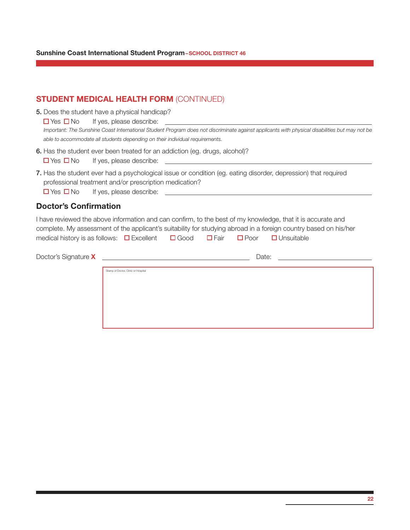# STUDENT MEDICAL HEALTH FORM (CONTINUED)

5. Does the student have a physical handicap?

| $\Box$ Yes $\Box$ No<br>If yes, please describe: |  |
|--------------------------------------------------|--|
|--------------------------------------------------|--|

*Important: The Sunshine Coast International Student Program does not discriminate against applicants with physical disabilities but may not be able to accommodate all students depending on their individual requirements.*

- 6. Has the student ever been treated for an addiction (eg. drugs, alcohol)?  $\Box$  Yes  $\Box$  No If yes, please describe:
- 7. Has the student ever had a psychological issue or condition (eg. eating disorder, depression) that required professional treatment and/or prescription medication?

 $\Box$  Yes  $\Box$  No If yes, please describe:

### Doctor's Confirmation

I have reviewed the above information and can confirm, to the best of my knowledge, that it is accurate and complete. My assessment of the applicant's suitability for studying abroad in a foreign country based on his/her medical history is as follows:  $\Box$  Excellent  $\Box$  Good  $\Box$  Fair  $\Box$  Poor  $\Box$  Unsuitable

| Doctor's Signature X | <u>and the state of the state of the state of the state of the state of the state of the state of the state of th</u> | Date: |  |
|----------------------|-----------------------------------------------------------------------------------------------------------------------|-------|--|
|                      | Stamp of Doctor, Clinic or Hospital                                                                                   |       |  |
|                      |                                                                                                                       |       |  |
|                      |                                                                                                                       |       |  |
|                      |                                                                                                                       |       |  |
|                      |                                                                                                                       |       |  |
|                      |                                                                                                                       |       |  |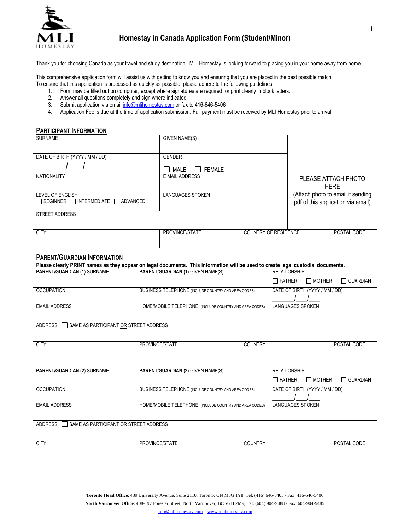

# **Homestay in Canada Application Form (Student/Minor)**

Thank you for choosing Canada as your travel and study destination. MLI Homestay is looking forward to placing you in your home away from home.

This comprehensive application form will assist us with getting to know you and ensuring that you are placed in the best possible match.

- To ensure that this application is processed as quickly as possible, please adhere to the following guidelines:
	- 1. Form may be filled out on computer, except where signatures are required, or print clearly in block letters.
	- 2. Answer all questions completely and sign where indicated
	- 3. Submit application via emai[l info@mlihomestay.com](mailto:info@mlihomestay.com) or fax to 416-646-5406
	- 4. Application Fee is due at the time of application submission. Full payment must be received by MLI Homestay prior to arrival.

### **PARTICIPANT INFORMATION**

| <b>SURNAME</b>                                                          | GIVEN NAME(S)           |                             |                                                                         |
|-------------------------------------------------------------------------|-------------------------|-----------------------------|-------------------------------------------------------------------------|
| DATE OF BIRTH (YYYY / MM / DD)                                          | <b>GENDER</b>           |                             |                                                                         |
|                                                                         | MALE<br><b>FEMALE</b>   |                             |                                                                         |
| <b>NATIONALITY</b>                                                      | E MAIL ADDRESS          |                             | PLEASE ATTACH PHOTO<br><b>HERE</b>                                      |
| LEVEL OF ENGLISH<br>$\Box$ BEGINNER $\Box$ INTERMEDIATE $\Box$ ADVANCED | <b>LANGUAGES SPOKEN</b> |                             | (Attach photo to email if sending<br>pdf of this application via email) |
| <b>STREET ADDRESS</b>                                                   |                         |                             |                                                                         |
| <b>CITY</b>                                                             | PROVINCE/STATE          | <b>COUNTRY OF RESIDENCE</b> | POSTAL CODE                                                             |

### **PARENT/GUARDIAN INFORMATION**

| Please clearly PRINT names as they appear on legal documents. This information will be used to create legal custodial documents. |                                                            |                |                                |               |                 |  |
|----------------------------------------------------------------------------------------------------------------------------------|------------------------------------------------------------|----------------|--------------------------------|---------------|-----------------|--|
| <b>PARENT/GUARDIAN (1) SURNAME</b>                                                                                               | <b>PARENT/GUARDIAN (1) GIVEN NAME(S)</b>                   |                | <b>RELATIONSHIP</b>            |               |                 |  |
|                                                                                                                                  |                                                            |                | $\Box$ Father                  | $\Box$ MOTHER | $\Box$ GUARDIAN |  |
| <b>OCCUPATION</b>                                                                                                                | <b>BUSINESS TELEPHONE (INCLUDE COUNTRY AND AREA CODES)</b> |                | DATE OF BIRTH (YYYY / MM / DD) |               |                 |  |
|                                                                                                                                  |                                                            |                |                                |               |                 |  |
| <b>EMAIL ADDRESS</b>                                                                                                             | HOME/MOBILE TELEPHONE (INCLUDE COUNTRY AND AREA CODES)     |                | <b>LANGUAGES SPOKEN</b>        |               |                 |  |
|                                                                                                                                  |                                                            |                |                                |               |                 |  |
| ADDRESS: SAME AS PARTICIPANT OR STREET ADDRESS                                                                                   |                                                            |                |                                |               |                 |  |
|                                                                                                                                  |                                                            |                |                                |               |                 |  |
| <b>CITY</b>                                                                                                                      | PROVINCE/STATE                                             | <b>COUNTRY</b> |                                |               | POSTAL CODE     |  |

| <b>PARENT/GUARDIAN (2) SURNAME</b>             | PARENT/GUARDIAN (2) GIVEN NAME(S)                          |                | <b>RELATIONSHIP</b>            |                 |
|------------------------------------------------|------------------------------------------------------------|----------------|--------------------------------|-----------------|
|                                                |                                                            |                | $\Box$ MOTHER<br>$\Box$ Father | $\Box$ GUARDIAN |
| <b>OCCUPATION</b>                              | <b>BUSINESS TELEPHONE (INCLUDE COUNTRY AND AREA CODES)</b> |                | DATE OF BIRTH (YYYY / MM / DD) |                 |
|                                                |                                                            |                |                                |                 |
| <b>EMAIL ADDRESS</b>                           | HOME/MOBILE TELEPHONE (INCLUDE COUNTRY AND AREA CODES)     |                | <b>LANGUAGES SPOKEN</b>        |                 |
|                                                |                                                            |                |                                |                 |
|                                                |                                                            |                |                                |                 |
| ADDRESS: SAME AS PARTICIPANT OR STREET ADDRESS |                                                            |                |                                |                 |
|                                                |                                                            |                |                                |                 |
|                                                |                                                            |                |                                |                 |
| <b>CITY</b>                                    | PROVINCE/STATE                                             | <b>COUNTRY</b> |                                | POSTAL CODE     |
|                                                |                                                            |                |                                |                 |
|                                                |                                                            |                |                                |                 |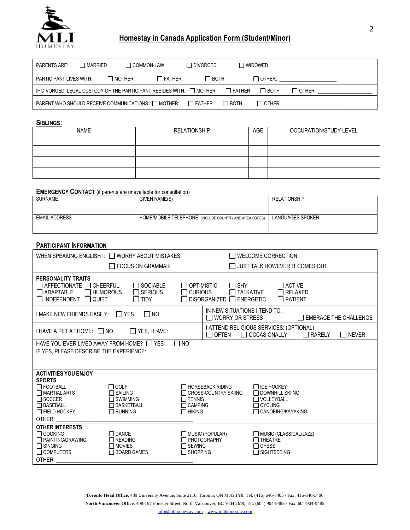

# **Homestay in Canada Application Form (Student/Minor)**

| PARENTS ARE:            | $\Box$ MARRIED | $\Box$ COMMON-LAW                                                         |               | $\Box$ DIVORCED |               | $\Box$ WIDOWED |               |  |
|-------------------------|----------------|---------------------------------------------------------------------------|---------------|-----------------|---------------|----------------|---------------|--|
| PARTICIPANT LIVES WITH: |                | $\Box$ MOTHER                                                             | $\Box$ FATHER | ∏ вотн          |               | $\Box$ other:  |               |  |
|                         |                | IF DIVORCED, LEGAL CUSTODY OF THE PARTICIPANT RESIDES WITH: $\Box$ MOTHER |               |                 | $\Box$ Father | $\Box$ BOTH    | $\Box$ other: |  |
|                         |                | PARENT WHO SHOULD RECEIVE COMMUNICATIONS: $\Box$ MOTHER                   |               | $\Box$ father   | $\Box$ BOTH   | $\Box$ other:  |               |  |

#### **SIBLINGS:**

| <b>NAME</b> | <b>RELATIONSHIP</b> | AGE | OCCUPATION/STUDY LEVEL |
|-------------|---------------------|-----|------------------------|
|             |                     |     |                        |
|             |                     |     |                        |
|             |                     |     |                        |
|             |                     |     |                        |

### **EMERGENCY CONTACT** (if parents are unavailable for consultation)

| <b>SURNAME</b>       | GIVEN NAME(S)                                          | <b>RELATIONSHIP</b> |
|----------------------|--------------------------------------------------------|---------------------|
|                      |                                                        |                     |
|                      |                                                        |                     |
| <b>EMAIL ADDRESS</b> | HOME/MOBILE TELEPHONE (INCLUDE COUNTRY AND AREA CODES) | LANGUAGES SPOKEN    |
|                      |                                                        |                     |
|                      |                                                        |                     |

### **PARTICIPANT INFORMATION**

| WHEN SPEAKING ENGLISH I: I WORRY ABOUT MISTAKES                                                                                                                                                                                              | <b>WELCOME CORRECTION</b>                                                                                                                                                                                                 |
|----------------------------------------------------------------------------------------------------------------------------------------------------------------------------------------------------------------------------------------------|---------------------------------------------------------------------------------------------------------------------------------------------------------------------------------------------------------------------------|
| $\Box$ FOCUS ON GRAMMAR                                                                                                                                                                                                                      | $\Box$ JUST TALK HOWEVER IT COMES OUT                                                                                                                                                                                     |
| <b>PERSONALITY TRAITS</b><br><b>SOCIABLE</b><br>AFFECTIONATE IQ CHEERFUL<br><b>ADAPTABLE</b><br><b>HUMOROUS</b><br><b>SERIOUS</b><br><b>INDEPENDENT</b><br><b>QUIET</b><br><b>TIDY</b>                                                       | $\Box$ SHY<br><b>OPTIMISTIC</b><br><b>ACTIVE</b><br><b>CURIOUS</b><br>$\Box$ TALKATIVE<br><b>RELAXED</b><br><b>PATIENT</b><br><b>DISORGANIZED</b><br>$\Box$ ENERGETIC                                                     |
| $\Box$ YES<br>$\Box$ NO<br>I MAKE NEW FRIENDS EASILY:                                                                                                                                                                                        | IN NEW SITUATIONS I TEND TO:<br>$\Box$ WORRY OR STRESS<br>T EMBRACE THE CHALLENGE                                                                                                                                         |
| $\Box$ YES, I HAVE:<br>I HAVE A PET AT HOME: □ NO                                                                                                                                                                                            | I ATTEND RELIGIOUS SERVICES: (OPTIONAL)<br>OCCASIONALLY<br>$\Box$ Of TEN<br>$\Box$ RARELY<br>$\Box$ Never                                                                                                                 |
| HAVE YOU EVER LIVED AWAY FROM HOME? THES<br>IF YES, PLEASE DESCRIBE THE EXPERIENCE:                                                                                                                                                          | N <sub>O</sub>                                                                                                                                                                                                            |
| <b>ACTIVITIES YOU ENJOY</b><br><b>SPORTS</b><br>$\Box$ FOOTBALL<br>$\Box$ GOLF<br>$\Box$ MARTIAL ARTS<br>$\Box$ SAILING<br>$\Box$ SOCCER<br>7 SWIMMING<br>$\Box$ BASEBALL<br>1 BASKETBALL<br>$\Box$ FIELD HOCKEY<br>$\Box$ RUNNING<br>OTHER: | $\Box$ HORSEBACK RIDING<br>$\Box$ ICE HOCKEY<br>$\Box$ CROSS-COUNTRY SKIING<br>$\Box$ DOWNHILL SKIING<br>$\Box$ TENNIS<br><b>□ VOLLEYBALL</b><br>$\Box$ CAMPING<br>$\Box$ CYCLING<br>□ CANOEING/KAYAKING<br>$\Box$ HIKING |
| <b>OTHER INTERESTS</b><br><b>□ COOKING</b><br>$\sqcap$ DANCE<br><b>T PAINTING/DRAWING</b><br>$\sqcap$ READING<br>$\Box$ SINGING<br>$\Box$ MOVIES<br>$\Box$ COMPUTERS<br>$\Box$ BOARD GAMES<br>OTHER:                                         | $\Box$ MUSIC (POPULAR)<br>$\Box$ MUSIC (CLASSICAL/JAZZ)<br>□ PHOTOGRAPHY<br>T THEATRE<br>$\Box$ SEWING<br>$\Box$ Chess<br>$\Box$ SHOPPING<br><b>SIGHTSEEING</b>                                                           |

**Toronto Head Office**: 439 University Avenue, Suite 2110, Toronto, ON M5G 1Y8, Tel: (416) 646-5405 / Fax: 416-646-5406 **North Vancouver Office**: 408-197 Forester Street, North Vancouver, BC V7H 2M9, Tel: (604) 904-9488 / Fax: 604-904-9485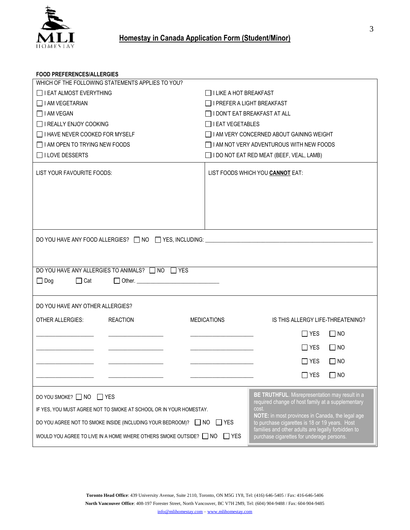

### **FOOD PREFERENCES/ALLERGIES**

| WHICH OF THE FOLLOWING STATEMENTS APPLIES TO YOU?                                                                                                                                                                                                   |                                                                                                                                                                                                                                                                                                                              |  |  |  |  |  |
|-----------------------------------------------------------------------------------------------------------------------------------------------------------------------------------------------------------------------------------------------------|------------------------------------------------------------------------------------------------------------------------------------------------------------------------------------------------------------------------------------------------------------------------------------------------------------------------------|--|--|--|--|--|
| $\Box$ I EAT ALMOST EVERYTHING                                                                                                                                                                                                                      | $\Box$ I LIKE A HOT BREAKFAST                                                                                                                                                                                                                                                                                                |  |  |  |  |  |
| I I AM VEGETARIAN                                                                                                                                                                                                                                   | I I PREFER A LIGHT BREAKFAST                                                                                                                                                                                                                                                                                                 |  |  |  |  |  |
| □ I AM VEGAN                                                                                                                                                                                                                                        | □ I DON'T EAT BREAKFAST AT ALL                                                                                                                                                                                                                                                                                               |  |  |  |  |  |
| □ I REALLY ENJOY COOKING                                                                                                                                                                                                                            | $\Box$ I EAT VEGETABLES                                                                                                                                                                                                                                                                                                      |  |  |  |  |  |
| $\Box$ I HAVE NEVER COOKED FOR MYSELF                                                                                                                                                                                                               | I AM VERY CONCERNED ABOUT GAINING WEIGHT                                                                                                                                                                                                                                                                                     |  |  |  |  |  |
| $\Box$ I AM OPEN TO TRYING NEW FOODS                                                                                                                                                                                                                | I AM NOT VERY ADVENTUROUS WITH NEW FOODS                                                                                                                                                                                                                                                                                     |  |  |  |  |  |
| $\Box$ I LOVE DESSERTS                                                                                                                                                                                                                              | I DO NOT EAT RED MEAT (BEEF, VEAL, LAMB)                                                                                                                                                                                                                                                                                     |  |  |  |  |  |
| LIST YOUR FAVOURITE FOODS:                                                                                                                                                                                                                          | LIST FOODS WHICH YOU CANNOT EAT:                                                                                                                                                                                                                                                                                             |  |  |  |  |  |
| DO YOU HAVE ANY ALLERGIES TO ANIMALS? □ NO □ YES<br>$\Box$ Dog<br>$\Box$ Cat                                                                                                                                                                        | DO YOU HAVE ANY FOOD ALLERGIES? □ NO □ YES, INCLUDING:                                                                                                                                                                                                                                                                       |  |  |  |  |  |
| DO YOU HAVE ANY OTHER ALLERGIES?                                                                                                                                                                                                                    |                                                                                                                                                                                                                                                                                                                              |  |  |  |  |  |
| <b>OTHER ALLERGIES:</b><br><b>REACTION</b>                                                                                                                                                                                                          | MEDICATIONS<br>IS THIS ALLERGY LIFE-THREATENING?                                                                                                                                                                                                                                                                             |  |  |  |  |  |
|                                                                                                                                                                                                                                                     |                                                                                                                                                                                                                                                                                                                              |  |  |  |  |  |
|                                                                                                                                                                                                                                                     | $\Box$ YES<br>$\Box$ NO                                                                                                                                                                                                                                                                                                      |  |  |  |  |  |
|                                                                                                                                                                                                                                                     | $\Box$ NO<br>$\Box$ YES                                                                                                                                                                                                                                                                                                      |  |  |  |  |  |
|                                                                                                                                                                                                                                                     | $\Box$ YES<br>$\Box$ NO                                                                                                                                                                                                                                                                                                      |  |  |  |  |  |
|                                                                                                                                                                                                                                                     | $\square$ YES<br>$\square$ NO                                                                                                                                                                                                                                                                                                |  |  |  |  |  |
|                                                                                                                                                                                                                                                     |                                                                                                                                                                                                                                                                                                                              |  |  |  |  |  |
| DO YOU SMOKE? □ NO □ YES<br>IF YES, YOU MUST AGREE NOT TO SMOKE AT SCHOOL OR IN YOUR HOMESTAY.<br>DO YOU AGREE NOT TO SMOKE INSIDE (INCLUDING YOUR BEDROOM)? □ NO □ YES<br>WOULD YOU AGREE TO LIVE IN A HOME WHERE OTHERS SMOKE OUTSIDE? □ NO □ YES | <b>BE TRUTHFUL.</b> Misrepresentation may result in a<br>required change of host family at a supplementary<br>cost.<br>NOTE: in most provinces in Canada, the legal age<br>to purchase cigarettes is 18 or 19 years. Host<br>families and other adults are legally forbidden to<br>purchase cigarettes for underage persons. |  |  |  |  |  |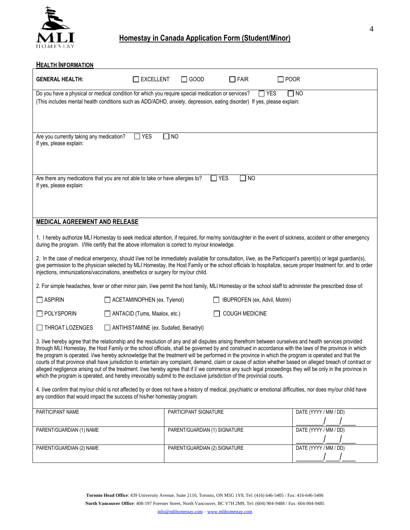

# **Homestay in Canada Application Form (Student/Minor)**

| <b>HEALTH INFORMATION</b>                                           |                                                                                                                                                                                                                              |                               |                               |                                                                                                                                                                                                                                                                                                                                                                                                                                                                                                                                                                                                                                                                                                                                                                                                     |
|---------------------------------------------------------------------|------------------------------------------------------------------------------------------------------------------------------------------------------------------------------------------------------------------------------|-------------------------------|-------------------------------|-----------------------------------------------------------------------------------------------------------------------------------------------------------------------------------------------------------------------------------------------------------------------------------------------------------------------------------------------------------------------------------------------------------------------------------------------------------------------------------------------------------------------------------------------------------------------------------------------------------------------------------------------------------------------------------------------------------------------------------------------------------------------------------------------------|
| <b>GENERAL HEALTH:</b>                                              | $\Box$ excellent                                                                                                                                                                                                             | $\Box$ GOOD                   | $\Box$ FAIR                   | $\Box$ POOR                                                                                                                                                                                                                                                                                                                                                                                                                                                                                                                                                                                                                                                                                                                                                                                         |
|                                                                     | Do you have a physical or medical condition for which you require special medication or services?<br>(This includes mental health conditions such as ADD/ADHD, anxiety, depression, eating disorder) If yes, please explain: |                               |                               | $\square$ YES<br><b>NO</b>                                                                                                                                                                                                                                                                                                                                                                                                                                                                                                                                                                                                                                                                                                                                                                          |
| Are you currently taking any medication?<br>If yes, please explain: | $\Box$ YES<br>$\Box$ NO                                                                                                                                                                                                      |                               |                               |                                                                                                                                                                                                                                                                                                                                                                                                                                                                                                                                                                                                                                                                                                                                                                                                     |
| If yes, please explain:                                             | Are there any medications that you are not able to take or have allergies to?                                                                                                                                                |                               | <b>YES</b><br>$\Box$ NO       |                                                                                                                                                                                                                                                                                                                                                                                                                                                                                                                                                                                                                                                                                                                                                                                                     |
| MEDICAL AGREEMENT AND RELEASE                                       |                                                                                                                                                                                                                              |                               |                               |                                                                                                                                                                                                                                                                                                                                                                                                                                                                                                                                                                                                                                                                                                                                                                                                     |
|                                                                     | during the program. I/We certify that the above information is correct to my/our knowledge.<br>injections, immunizations/vaccinations, anesthetics or surgery for my/our child.                                              |                               |                               | 1. I hereby authorize MLI Homestay to seek medical attention, if required, for me/my son/daughter in the event of sickness, accident or other emergency<br>2. In the case of medical emergency, should I/we not be immediately available for consultation, I/we, as the Participant's parent(s) or legal guardian(s),<br>give permission to the physician selected by MLI Homestay, the Host Family or the school officials to hospitalize, secure proper treatment for, and to order                                                                                                                                                                                                                                                                                                               |
|                                                                     |                                                                                                                                                                                                                              |                               |                               | 2. For simple headaches, fever or other minor pain, I/we permit the host family, MLI Homestay or the school staff to administer the prescribed dose of:                                                                                                                                                                                                                                                                                                                                                                                                                                                                                                                                                                                                                                             |
| $\Box$ ASPIRIN                                                      | ACETAMINOPHEN (ex. Tylenol)                                                                                                                                                                                                  |                               | IBUPROFEN (ex, Advil, Motrin) |                                                                                                                                                                                                                                                                                                                                                                                                                                                                                                                                                                                                                                                                                                                                                                                                     |
| $\Box$ POLYSPORIN                                                   | ANTACID (Tums, Maalox, etc.)                                                                                                                                                                                                 |                               | <b>COUGH MEDICINE</b>         |                                                                                                                                                                                                                                                                                                                                                                                                                                                                                                                                                                                                                                                                                                                                                                                                     |
| $\Box$ THROAT LOZENGES                                              | ANTIHISTAMINE (ex. Sudafed, Benadryl)                                                                                                                                                                                        |                               |                               |                                                                                                                                                                                                                                                                                                                                                                                                                                                                                                                                                                                                                                                                                                                                                                                                     |
|                                                                     | which the program is operated, and hereby irrevocably submit to the exclusive jurisdiction of the provincial courts.                                                                                                         |                               |                               | 3. I/we hereby agree that the relationship and the resolution of any and all disputes arising therefrom between ourselves and health services provided<br>through MLI Homestay, the Host Family or the school officials, shall be governed by and construed in accordance with the laws of the province in which<br>the program is operated. I/we hereby acknowledge that the treatment will be performed in the province in which the program is operated and that the<br>courts of that province shall have jurisdiction to entertain any complaint, demand, claim or cause of action whether based on alleged breach of contract or<br>alleged negligence arising out of the treatment. I/we hereby agree that if I/ we commence any such legal proceedings they will be only in the province in |
|                                                                     | any condition that would impact the success of his/her homestay program.                                                                                                                                                     |                               |                               | 4. I/we confirm that my/our child is not affected by or does not have a history of medical, psychiatric or emotional difficulties, nor does my/our child have                                                                                                                                                                                                                                                                                                                                                                                                                                                                                                                                                                                                                                       |
| PARTICIPANT NAME                                                    |                                                                                                                                                                                                                              | PARTICIPANT SIGNATURE         |                               | DATE (YYYY / MM / DD)                                                                                                                                                                                                                                                                                                                                                                                                                                                                                                                                                                                                                                                                                                                                                                               |
| PARENT/GUARDIAN (1) NAME                                            |                                                                                                                                                                                                                              | PARENT/GUARDIAN (1) SIGNATURE |                               | DATE (YYYY / MM / DD)                                                                                                                                                                                                                                                                                                                                                                                                                                                                                                                                                                                                                                                                                                                                                                               |
| PARENT/GUARDIAN (2) NAME                                            |                                                                                                                                                                                                                              | PARENT/GUARDIAN (2) SIGNATURE |                               | DATE (YYYY / MM / DD)                                                                                                                                                                                                                                                                                                                                                                                                                                                                                                                                                                                                                                                                                                                                                                               |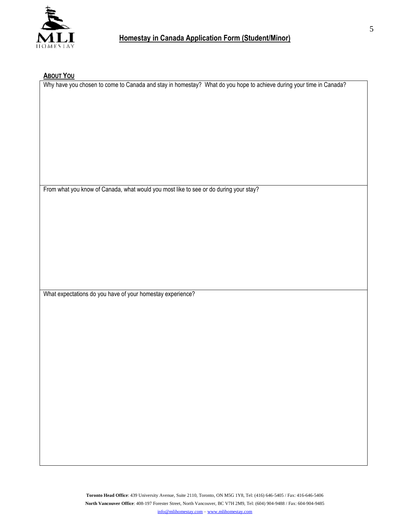

# **ABOUT YOU**

Why have you chosen to come to Canada and stay in homestay? What do you hope to achieve during your time in Canada?

From what you know of Canada, what would you most like to see or do during your stay?

What expectations do you have of your homestay experience?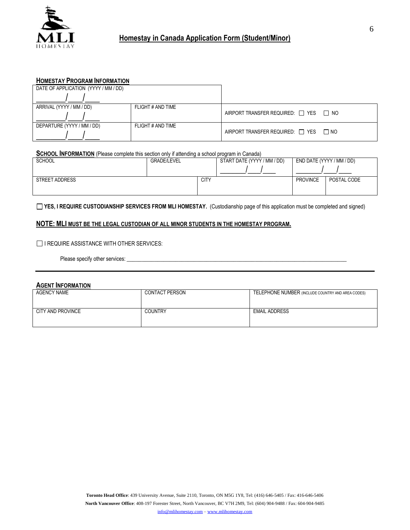

| DATE OF APPLICATION (YYYY / MM / DD) |                   |                                                 |  |
|--------------------------------------|-------------------|-------------------------------------------------|--|
|                                      |                   |                                                 |  |
| ARRIVAL (YYYY / MM / DD)             | FLIGHT # AND TIME |                                                 |  |
|                                      |                   | AIRPORT TRANSFER REQUIRED: $\Box$ YES $\Box$ NO |  |
| DEPARTURE (YYYY / MM / DD)           | FLIGHT # AND TIME |                                                 |  |
|                                      |                   | AIRPORT TRANSFER REQUIRED: $\Box$ YES $\Box$ NO |  |

#### **SCHOOL INFORMATION** (Please complete this section only if attending a school program in Canada)

| SCHOOL                | <b>GRADE/LEVEL</b> | START DATE (YYYY / MM / DD) | END DATE (YYYY / MM / DD)      |
|-----------------------|--------------------|-----------------------------|--------------------------------|
|                       |                    |                             |                                |
| <b>STREET ADDRESS</b> |                    | <b>CITY</b>                 | <b>PROVINCE</b><br>POSTAL CODE |
|                       |                    |                             |                                |

**YES, I REQUIRE CUSTODIANSHIP SERVICES FROM MLI HOMESTAY.** (Custodianship page of this application must be completed and signed)

### **NOTE: MLI MUST BE THE LEGAL CUSTODIAN OF ALL MINOR STUDENTS IN THE HOMESTAY PROGRAM.**

#### $\Box$  I REQUIRE ASSISTANCE WITH OTHER SERVICES:

Please specify other services: \_\_\_\_\_\_\_\_\_\_\_\_\_\_\_\_\_\_\_\_\_\_\_\_\_\_\_\_\_\_\_\_\_\_\_\_\_\_\_\_\_\_\_\_\_\_\_\_\_\_\_\_\_\_\_\_\_\_\_\_\_\_\_\_\_\_\_\_\_\_\_\_

#### **AGENT INFORMATION**

| <b>AGENCY NAME</b> | <b>CONTACT PERSON</b> | TELEPHONE NUMBER (INCLUDE COUNTRY AND AREA CODES) |
|--------------------|-----------------------|---------------------------------------------------|
| CITY AND PROVINCE  | <b>COUNTRY</b>        | <b>EMAIL ADDRESS</b>                              |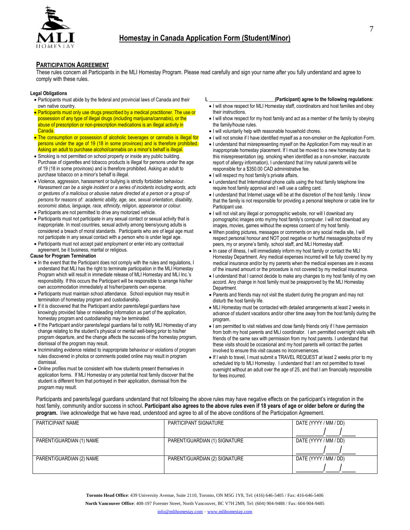

#### **PARTICIPATION AGREEMENT**

These rules concern all Participants in the MLI Homestay Program. Please read carefully and sign your name after you fully understand and agree to comply with these rules.

#### **Legal Obligations**

- Participants must abide by the federal and provincial laws of Canada and their own native country.
- Participants must only use drugs prescribed by a medical practitioner. The use or possession of any type of illegal drugs (including marijuana/cannabis), or the abuse of prescription or non-prescription medications is an illegal activity in Canada.
- The consumption or possession of alcoholic beverages or cannabis is illegal for persons under the age of 19 (18 in some provinces) and is therefore prohibited. Asking an adult to purchase alcohol/cannabis on a minor's behalf is illegal.
- Smoking is not permitted on school property or inside any public building. Purchase of cigarettes and tobacco products is illegal for persons under the age of 19 (18 in some provinces) and is therefore prohibited. Asking an adult to purchase tobacco on a minor's behalf is illegal.
- Violence, aggression, harassment or bullying is strictly forbidden behaviour. *Harassment can be a single incident or a series of incidents including words, acts or gestures of a malicious or abusive nature directed at a person or a group of persons for reasons of: academic ability, age, sex, sexual orientation, disability, economic status, language, race, ethnicity, religion, appearance or colour.*
- Participants are not permitted to drive any motorized vehicle.
- Participants must not participate in any sexual contact or sexual activity that is inappropriate. In most countries, sexual activity among teens/young adults is considered a breach of moral standards. Participants who are of legal age must not participate in any sexual contact with a person who is under legal age.
- Participants must not accept paid employment or enter into any contractual agreement, be it business, marital or religious.

#### **Cause for Program Termination**

- In the event that the Participant does not comply with the rules and regulations, I understand that MLI has the right to terminate participation in the MLI Homestay Program which will result in immediate release of MLI Homestay and MLI Inc.'s responsibility. If this occurs the Participant will be responsible to arrange his/her own accommodation immediately at his/her/parents own expense.
- Participants must maintain school attendance. School expulsion may result in termination of homestay program and custodianship.
- If it is discovered that the Participant and/or parents/legal guardians have knowingly provided false or misleading information as part of the application, homestay program and custodianship may be terminated.
- If the Participant and/or parents/legal guardians fail to notify MLI Homestay of any change relating to the student's physical or mental well-being prior to his/her program departure, and the change affects the success of the homestay program, dismissal of the program may result.
- Incriminating evidence related to inappropriate behaviour or violations of program rules discovered in photos or comments posted online may result in program dismissal.
- Online profiles must be consistent with how students present themselves in application forms. If MLI Homestay or any potential host family discover that the student is different from that portrayed in their application, dismissal from the program may result.

#### **I, \_\_\_\_\_\_\_\_\_\_\_\_\_\_\_\_\_\_\_\_\_\_\_\_\_\_\_(Participant) agree to the following regulations:**

- I will show respect for MLI Homestay staff, coordinators and host families and obey their instructions.
- I will show respect for my host family and act as a member of the family by obeying the family/house rules.
- I will voluntarily help with reasonable household chores.
- I will not smoke if I have identified myself as a non-smoker on the Application Form.
- I understand that misrepresenting myself on the Application Form may result in an inappropriate homestay placement. If I must be moved to a new homestay due to this misrepresentation (eg. smoking when identified as a non-smoker, inaccurate report of allergy information), I understand that I/my natural parents will be responsible for a \$350.00 CAD administrative fee.
- I will respect my host family's private affairs.
- I understand that International phone calls using the host family telephone line require host family approval and I will use a calling card.
- I understand that Internet usage will be at the discretion of the host family. I know that the family is not responsible for providing a personal telephone or cable line for Participant use.
- I will not visit any illegal or pornographic website, nor will I download any pornographic images onto my/my host family's computer. I will not download any images, movies, games without the express consent of my host family.
- When posting pictures, messages or comments on any social media site, I will respect personal honour and NOT post negative or hurtful messages/photos of my peers, my or anyone's family, school staff, and MLI Homestay staff.
- In case of illness, I will immediately inform my host family or contact the MLI Homestay Department. Any medical expenses incurred will be fully covered by my medical insurance and/or by my parents when the medical expenses are in excess of the insured amount or the procedure is not covered by my medical insurance.
- I understand that I cannot decide to make any changes to my host family of my own accord. Any change in host family must be preapproved by the MLI Homestay Department.
- Parents and friends may not visit the student during the program and may not disturb the host family life.
- MLI Homestay must be contacted with detailed arrangements at least 2 weeks in advance of student vacations and/or other time away from the host family during the program.
- I am permitted to visit relatives and close family friends only if I have permission from both my host parents and MLI coordinator. I am permitted overnight visits with friends of the same sex with permission from my host parents. I understand that these visits should be occasional and my host parents will contact the parties involved to ensure this visit causes no inconveniences.
- If I wish to travel, I must submit a TRAVEL REQUEST at least 2 weeks prior to my scheduled trip to MLI Homestay. I understand that I am not permitted to travel overnight without an adult over the age of 25, and that I am financially responsible for fees incurred.

Participants and parents/legal guardians understand that not following the above rules may have negative effects on the participant's integration in the host family, community and/or success in school**. Participant also agrees to the above rules even if 18 years of age or older before or during the program.** I/we acknowledge that we have read, understood and agree to all of the above conditions of the Participation Agreement.

| PARTICIPANT NAME         | PARTICIPANT SIGNATURE         | DATE (YYYY / MM / DD) |
|--------------------------|-------------------------------|-----------------------|
|                          |                               |                       |
| PARENT/GUARDIAN (1) NAME | PARENT/GUARDIAN (1) SIGNATURE | DATE (YYYY / MM / DD) |
|                          |                               |                       |
| PARENT/GUARDIAN (2) NAME | PARENT/GUARDIAN (2) SIGNATURE | DATE (YYYY / MM / DD) |
|                          |                               |                       |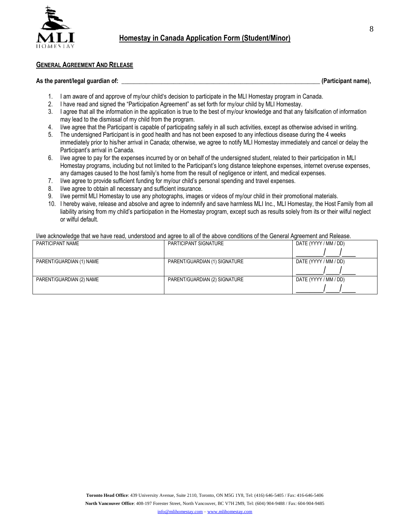

### **GENERAL AGREEMENT AND RELEASE**

#### As the parent/legal guardian of: **with a set of the parent of the set of the set of the set of the set of the set of the set of the set of the set of the set of the set of the set of the set of the set of the set of the se**

- 1. I am aware of and approve of my/our child's decision to participate in the MLI Homestay program in Canada.
- 2. I have read and signed the "Participation Agreement" as set forth for my/our child by MLI Homestay.
- 3. I agree that all the information in the application is true to the best of my/our knowledge and that any falsification of information may lead to the dismissal of my child from the program.
- 4. I/we agree that the Participant is capable of participating safely in all such activities, except as otherwise advised in writing.
- 5. The undersigned Participant is in good health and has not been exposed to any infectious disease during the 4 weeks immediately prior to his/her arrival in Canada; otherwise, we agree to notify MLI Homestay immediately and cancel or delay the Participant's arrival in Canada.
- 6. I/we agree to pay for the expenses incurred by or on behalf of the undersigned student, related to their participation in MLI Homestay programs, including but not limited to the Participant's long distance telephone expenses, internet overuse expenses, any damages caused to the host family's home from the result of negligence or intent, and medical expenses.
- 7. I/we agree to provide sufficient funding for my/our child's personal spending and travel expenses.
- 8. I/we agree to obtain all necessary and sufficient insurance.
- 9. I/we permit MLI Homestay to use any photographs, images or videos of my/our child in their promotional materials.
- 10. I hereby waive, release and absolve and agree to indemnify and save harmless MLI Inc., MLI Homestay, the Host Family from all liability arising from my child's participation in the Homestay program, except such as results solely from its or their wilful neglect or wilful default.

I/we acknowledge that we have read, understood and agree to all of the above conditions of the General Agreement and Release.

| PARTICIPANT NAME         | PARTICIPANT SIGNATURE         | DATE (YYYY / MM / DD) |
|--------------------------|-------------------------------|-----------------------|
|                          |                               |                       |
| PARENT/GUARDIAN (1) NAME | PARENT/GUARDIAN (1) SIGNATURE | DATE (YYYY / MM / DD) |
|                          |                               |                       |
| PARENT/GUARDIAN (2) NAME | PARENT/GUARDIAN (2) SIGNATURE | DATE (YYYY / MM / DD) |
|                          |                               |                       |